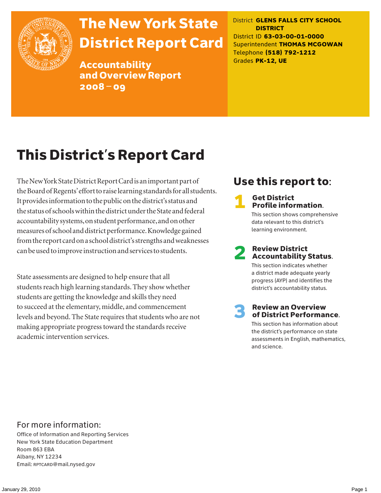

# The New York State District Report Card

Accountability and Overview Report 2008–09

District **GLENS FALLS CITY SCHOOL DISTRICT** District ID **63-03-00-01-0000** Superintendent **THOMAS MCGOWAN** Telephone **(518) 792-1212** Grades **PK-12, UE**

# This District's Report Card

The New York State District Report Card is an important part of the Board of Regents' effort to raise learning standards for all students. It provides information to the public on the district's status and the status of schools within the district under the State and federal accountability systems, on student performance, and on other measures of school and district performance. Knowledge gained from the report card on a school district's strengths and weaknesses can be used to improve instruction and services to students.

State assessments are designed to help ensure that all students reach high learning standards. They show whether students are getting the knowledge and skills they need to succeed at the elementary, middle, and commencement levels and beyond. The State requires that students who are not making appropriate progress toward the standards receive academic intervention services.

## Use this report to:

### **Get District** Profile information.

This section shows comprehensive data relevant to this district's learning environment.

# **2** Review District<br>Accountability Status.

This section indicates whether a district made adequate yearly progress (AYP) and identifies the district's accountability status.

# **3** Review an Overview<br>
of District Performance.

This section has information about the district's performance on state assessments in English, mathematics, and science.

### For more information:

Office of Information and Reporting Services New York State Education Department Room 863 EBA Albany, NY 12234 Email: RPTCARD@mail.nysed.gov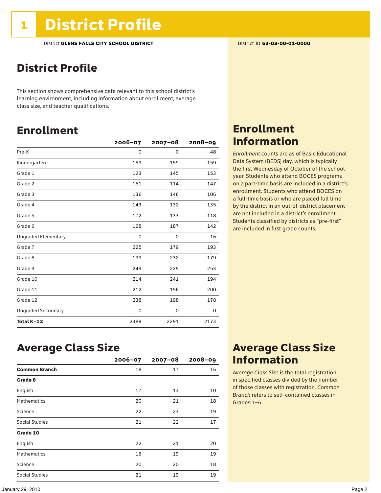## District Profile

This section shows comprehensive data relevant to this school district's learning environment, including information about enrollment, average class size, and teacher qualifications.

## Enrollment

|                            | $2006 - 07$ | $2007 - 08$ | $2008 - 09$ |
|----------------------------|-------------|-------------|-------------|
| Pre-K                      | 0           | 0           | 48          |
| Kindergarten               | 159         | 159         | 159         |
| Grade 1                    | 123         | 145         | 153         |
| Grade 2                    | 151         | 114         | 147         |
| Grade 3                    | 136         | 146         | 106         |
| Grade 4                    | 143         | 132         | 135         |
| Grade 5                    | 172         | 133         | 118         |
| Grade 6                    | 168         | 187         | 142         |
| <b>Ungraded Elementary</b> | 0           | 0           | 16          |
| Grade 7                    | 225         | 179         | 193         |
| Grade 8                    | 199         | 232         | 179         |
| Grade 9                    | 249         | 229         | 253         |
| Grade 10                   | 214         | 241         | 194         |
| Grade 11                   | 212         | 196         | 200         |
| Grade 12                   | 238         | 198         | 178         |
| <b>Ungraded Secondary</b>  | 0           | 0           | 0           |
| Total K-12                 | 2389        | 2291        | 2173        |

### Enrollment Information

*Enrollment* counts are as of Basic Educational Data System (BEDS) day, which is typically the first Wednesday of October of the school year. Students who attend BOCES programs on a part-time basis are included in a district's enrollment. Students who attend BOCES on a full-time basis or who are placed full time by the district in an out-of-district placement are not included in a district's enrollment. Students classified by districts as "pre-first" are included in first grade counts.

### Average Class Size

|                      | $2006 - 07$ | $2007 - 08$ | $2008 - 09$ |
|----------------------|-------------|-------------|-------------|
| <b>Common Branch</b> | 18          | 17          | 16          |
| Grade 8              |             |             |             |
| English              | 17          | 13          | 10          |
| <b>Mathematics</b>   | 20          | 21          | 18          |
| Science              | 22          | 23          | 19          |
| Social Studies       | 21          | 22          | 17          |
| Grade 10             |             |             |             |
| English              | 22          | 21          | 20          |
| <b>Mathematics</b>   | 16          | 19          | 19          |
| Science              | 20          | 20          | 18          |
| Social Studies       | 21          | 19          | 19          |

### Average Class Size Information

*Average Class Size* is the total registration in specified classes divided by the number of those classes with registration. *Common Branch* refers to self-contained classes in Grades 1–6.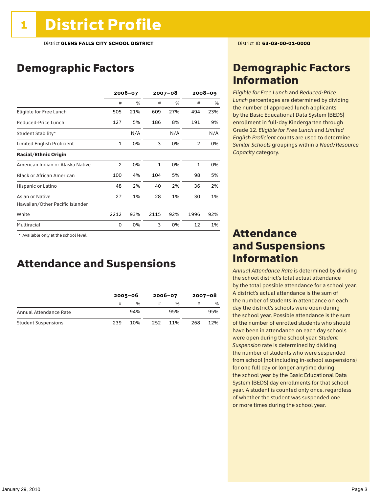## Demographic Factors

|                                  | 2006-07        |     | $2007 - 08$  |     | $2008 - 09$  |      |
|----------------------------------|----------------|-----|--------------|-----|--------------|------|
|                                  | #              | %   | #            | %   | #            | $\%$ |
| Eligible for Free Lunch          | 505            | 21% | 609          | 27% | 494          | 23%  |
| Reduced-Price Lunch              | 127            | 5%  | 186          | 8%  | 191          | 9%   |
| Student Stability*               |                | N/A |              | N/A |              | N/A  |
| Limited English Proficient       | 1              | 0%  | 3            | 0%  | 2            | 0%   |
| <b>Racial/Ethnic Origin</b>      |                |     |              |     |              |      |
| American Indian or Alaska Native | $\overline{2}$ | 0%  | $\mathbf{1}$ | 0%  | $\mathbf{1}$ | 0%   |
| <b>Black or African American</b> | 100            | 4%  | 104          | 5%  | 98           | 5%   |
| Hispanic or Latino               | 48             | 2%  | 40           | 2%  | 36           | 2%   |
| Asian or Native                  | 27             | 1%  | 28           | 1%  | 30           | 1%   |
| Hawaiian/Other Pacific Islander  |                |     |              |     |              |      |
| White                            | 2212           | 93% | 2115         | 92% | 1996         | 92%  |
| Multiracial                      | 0              | 0%  | 3            | 0%  | 12           | 1%   |

\* Available only at the school level.

### Attendance and Suspensions

|                            |     | $2005 - 06$ |     | 2006-07 | $2007 - 08$ |     |
|----------------------------|-----|-------------|-----|---------|-------------|-----|
|                            | #   | %           |     | %       | #           | %   |
| Annual Attendance Rate     |     | 94%         |     | 95%     |             | 95% |
| <b>Student Suspensions</b> | 239 | 10%         | 252 | 11%     | 268         | 12% |

### Demographic Factors Information

*Eligible for Free Lunch* and *Reduced*-*Price Lunch* percentages are determined by dividing the number of approved lunch applicants by the Basic Educational Data System (BEDS) enrollment in full-day Kindergarten through Grade 12. *Eligible for Free Lunch* and *Limited English Proficient* counts are used to determine *Similar Schools* groupings within a *Need*/*Resource Capacity* category.

### Attendance and Suspensions Information

*Annual Attendance Rate* is determined by dividing the school district's total actual attendance by the total possible attendance for a school year. A district's actual attendance is the sum of the number of students in attendance on each day the district's schools were open during the school year. Possible attendance is the sum of the number of enrolled students who should have been in attendance on each day schools were open during the school year. *Student Suspension* rate is determined by dividing the number of students who were suspended from school (not including in-school suspensions) for one full day or longer anytime during the school year by the Basic Educational Data System (BEDS) day enrollments for that school year. A student is counted only once, regardless of whether the student was suspended one or more times during the school year.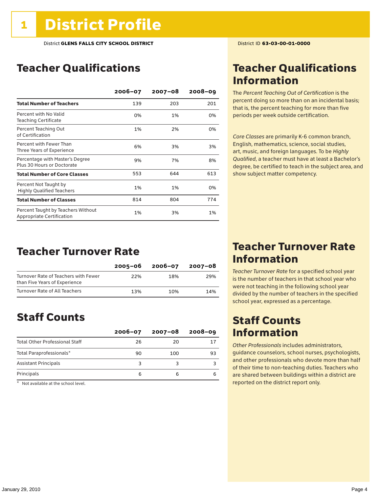## Teacher Qualifications

|                                                                 | $2006 - 07$ | 2007-08 | $2008 - 09$ |
|-----------------------------------------------------------------|-------------|---------|-------------|
| <b>Total Number of Teachers</b>                                 | 139         | 203     | 201         |
| Percent with No Valid<br><b>Teaching Certificate</b>            | 0%          | 1%      | 0%          |
| Percent Teaching Out<br>of Certification                        | 1%          | 2%      | 0%          |
| Percent with Fewer Than<br>Three Years of Experience            | 6%          | 3%      | 3%          |
| Percentage with Master's Degree<br>Plus 30 Hours or Doctorate   | 9%          | 7%      | 8%          |
| <b>Total Number of Core Classes</b>                             | 553         | 644     | 613         |
| Percent Not Taught by<br><b>Highly Qualified Teachers</b>       | 1%          | 1%      | 0%          |
| <b>Total Number of Classes</b>                                  | 814         | 804     | 774         |
| Percent Taught by Teachers Without<br>Appropriate Certification | 1%          | 3%      | 1%          |

### Teacher Turnover Rate

|                                                                       | $2005 - 06$ | 2006-07 | 2007-08 |
|-----------------------------------------------------------------------|-------------|---------|---------|
| Turnover Rate of Teachers with Fewer<br>than Five Years of Experience | 22%         | 18%     | 29%     |
| Turnover Rate of All Teachers                                         | 13%         | 10%     | 14%     |

## Staff Counts

|                                       | $2006 - 07$ | $2007 - 08$ | $2008 - 09$ |
|---------------------------------------|-------------|-------------|-------------|
| <b>Total Other Professional Staff</b> | 26          | 20          | 17          |
| Total Paraprofessionals*              | 90          | 100         | 93          |
| <b>Assistant Principals</b>           |             |             |             |
| Principals                            |             | 6           |             |

 $*$  Not available at the school level.

## Teacher Qualifications Information

The *Percent Teaching Out of Certification* is the percent doing so more than on an incidental basis; that is, the percent teaching for more than five periods per week outside certification.

*Core Classes* are primarily K-6 common branch, English, mathematics, science, social studies, art, music, and foreign languages. To be *Highly Qualified*, a teacher must have at least a Bachelor's degree, be certified to teach in the subject area, and show subject matter competency.

### Teacher Turnover Rate Information

*Teacher Turnover Rate* for a specified school year is the number of teachers in that school year who were not teaching in the following school year divided by the number of teachers in the specified school year, expressed as a percentage.

## Staff Counts Information

*Other Professionals* includes administrators, guidance counselors, school nurses, psychologists, and other professionals who devote more than half of their time to non-teaching duties. Teachers who are shared between buildings within a district are reported on the district report only.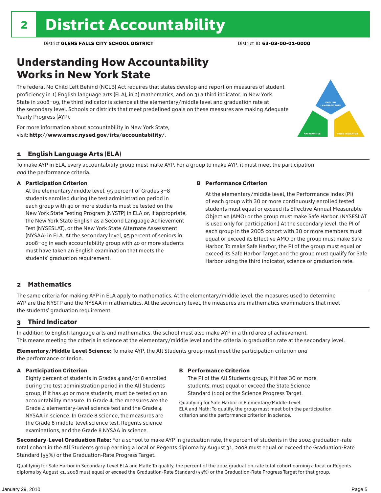## Understanding How Accountability Works in New York State

The federal No Child Left Behind (NCLB) Act requires that states develop and report on measures of student proficiency in 1) English language arts (ELA), in 2) mathematics, and on 3) a third indicator. In New York State in 2008–09, the third indicator is science at the elementary/middle level and graduation rate at the secondary level. Schools or districts that meet predefined goals on these measures are making Adequate Yearly Progress (AYP).



For more information about accountability in New York State, visit: http://www.emsc.nysed.gov/irts/accountability/.

### 1 English Language Arts (ELA)

To make AYP in ELA, every accountability group must make AYP. For a group to make AYP, it must meet the participation *and* the performance criteria.

### A Participation Criterion

At the elementary/middle level, 95 percent of Grades 3–8 students enrolled during the test administration period in each group with 40 or more students must be tested on the New York State Testing Program (NYSTP) in ELA or, if appropriate, the New York State English as a Second Language Achievement Test (NYSESLAT), or the New York State Alternate Assessment (NYSAA) in ELA. At the secondary level, 95 percent of seniors in 2008–09 in each accountability group with 40 or more students must have taken an English examination that meets the students' graduation requirement.

#### B Performance Criterion

At the elementary/middle level, the Performance Index (PI) of each group with 30 or more continuously enrolled tested students must equal or exceed its Effective Annual Measurable Objective (AMO) or the group must make Safe Harbor. (NYSESLAT is used only for participation.) At the secondary level, the PI of each group in the 2005 cohort with 30 or more members must equal or exceed its Effective AMO or the group must make Safe Harbor. To make Safe Harbor, the PI of the group must equal or exceed its Safe Harbor Target and the group must qualify for Safe Harbor using the third indicator, science or graduation rate.

### 2 Mathematics

The same criteria for making AYP in ELA apply to mathematics. At the elementary/middle level, the measures used to determine AYP are the NYSTP and the NYSAA in mathematics. At the secondary level, the measures are mathematics examinations that meet the students' graduation requirement.

### 3 Third Indicator

In addition to English language arts and mathematics, the school must also make AYP in a third area of achievement. This means meeting the criteria in science at the elementary/middle level and the criteria in graduation rate at the secondary level.

Elementary/Middle-Level Science: To make AYP, the All Students group must meet the participation criterion *and* the performance criterion.

### A Participation Criterion

Eighty percent of students in Grades 4 and/or 8 enrolled during the test administration period in the All Students group, if it has 40 or more students, must be tested on an accountability measure. In Grade 4, the measures are the Grade 4 elementary-level science test and the Grade 4 NYSAA in science. In Grade 8 science, the measures are the Grade 8 middle-level science test, Regents science examinations, and the Grade 8 NYSAA in science.

#### B Performance Criterion

The PI of the All Students group, if it has 30 or more students, must equal or exceed the State Science Standard (100) or the Science Progress Target.

Qualifying for Safe Harbor in Elementary/Middle-Level ELA and Math: To qualify, the group must meet both the participation criterion and the performance criterion in science.

Secondary-Level Graduation Rate: For a school to make AYP in graduation rate, the percent of students in the 2004 graduation-rate total cohort in the All Students group earning a local or Regents diploma by August 31, 2008 must equal or exceed the Graduation-Rate Standard (55%) or the Graduation-Rate Progress Target.

Qualifying for Safe Harbor in Secondary-Level ELA and Math: To qualify, the percent of the 2004 graduation-rate total cohort earning a local or Regents diploma by August 31, 2008 must equal or exceed the Graduation-Rate Standard (55%) or the Graduation-Rate Progress Target for that group.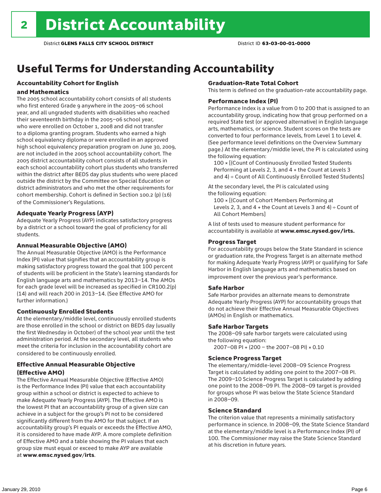## Useful Terms for Understanding Accountability

### Accountability Cohort for English

### and Mathematics

The 2005 school accountability cohort consists of all students who first entered Grade 9 anywhere in the 2005–06 school year, and all ungraded students with disabilities who reached their seventeenth birthday in the 2005–06 school year, who were enrolled on October 1, 2008 and did not transfer to a diploma granting program. Students who earned a high school equivalency diploma or were enrolled in an approved high school equivalency preparation program on June 30, 2009, are not included in the 2005 school accountability cohort. The 2005 district accountability cohort consists of all students in each school accountability cohort plus students who transferred within the district after BEDS day plus students who were placed outside the district by the Committee on Special Education or district administrators and who met the other requirements for cohort membership. Cohort is defined in Section 100.2 (p) (16) of the Commissioner's Regulations.

### Adequate Yearly Progress (AYP)

Adequate Yearly Progress (AYP) indicates satisfactory progress by a district or a school toward the goal of proficiency for all students.

#### Annual Measurable Objective (AMO)

The Annual Measurable Objective (AMO) is the Performance Index (PI) value that signifies that an accountability group is making satisfactory progress toward the goal that 100 percent of students will be proficient in the State's learning standards for English language arts and mathematics by 2013–14. The AMOs for each grade level will be increased as specified in CR100.2(p) (14) and will reach 200 in 2013–14. (See Effective AMO for further information.)

### Continuously Enrolled Students

At the elementary/middle level, continuously enrolled students are those enrolled in the school or district on BEDS day (usually the first Wednesday in October) of the school year until the test administration period. At the secondary level, all students who meet the criteria for inclusion in the accountability cohort are considered to be continuously enrolled.

### Effective Annual Measurable Objective (Effective AMO)

The Effective Annual Measurable Objective (Effective AMO) is the Performance Index (PI) value that each accountability group within a school or district is expected to achieve to make Adequate Yearly Progress (AYP). The Effective AMO is the lowest PI that an accountability group of a given size can achieve in a subject for the group's PI not to be considered significantly different from the AMO for that subject. If an accountability group's PI equals or exceeds the Effective AMO, it is considered to have made AYP. A more complete definition of Effective AMO and a table showing the PI values that each group size must equal or exceed to make AYP are available at www.emsc.nysed.gov/irts.

### Graduation-Rate Total Cohort

This term is defined on the graduation-rate accountability page.

#### Performance Index (PI)

Performance Index is a value from 0 to 200 that is assigned to an accountability group, indicating how that group performed on a required State test (or approved alternative) in English language arts, mathematics, or science. Student scores on the tests are converted to four performance levels, from Level 1 to Level 4. (See performance level definitions on the Overview Summary page.) At the elementary/middle level, the PI is calculated using the following equation:

100 × [(Count of Continuously Enrolled Tested Students Performing at Levels 2, 3, and 4 + the Count at Levels 3 and 4) ÷ Count of All Continuously Enrolled Tested Students]

At the secondary level, the PI is calculated using the following equation:

100 × [(Count of Cohort Members Performing at Levels 2, 3, and  $4 +$  the Count at Levels 3 and  $4$ ) ÷ Count of All Cohort Members]

A list of tests used to measure student performance for accountability is available at www.emsc.nysed.gov/irts.

### Progress Target

For accountability groups below the State Standard in science or graduation rate, the Progress Target is an alternate method for making Adequate Yearly Progress (AYP) or qualifying for Safe Harbor in English language arts and mathematics based on improvement over the previous year's performance.

### Safe Harbor

Safe Harbor provides an alternate means to demonstrate Adequate Yearly Progress (AYP) for accountability groups that do not achieve their Effective Annual Measurable Objectives (AMOs) in English or mathematics.

### Safe Harbor Targets

The 2008–09 safe harbor targets were calculated using the following equation:

2007–08 PI + (200 – the 2007–08 PI) × 0.10

#### Science Progress Target

The elementary/middle-level 2008–09 Science Progress Target is calculated by adding one point to the 2007–08 PI. The 2009–10 Science Progress Target is calculated by adding one point to the 2008–09 PI. The 2008–09 target is provided for groups whose PI was below the State Science Standard in 2008–09.

#### Science Standard

The criterion value that represents a minimally satisfactory performance in science. In 2008–09, the State Science Standard at the elementary/middle level is a Performance Index (PI) of 100. The Commissioner may raise the State Science Standard at his discretion in future years.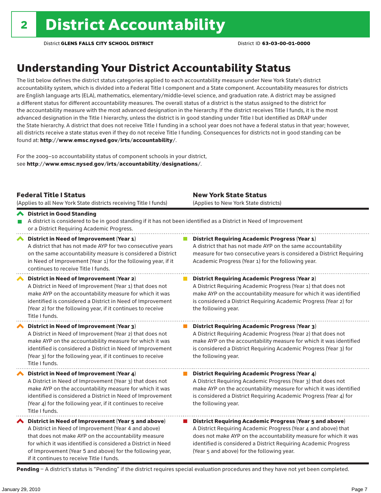## Understanding Your District Accountability Status

The list below defines the district status categories applied to each accountability measure under New York State's district accountability system, which is divided into a Federal Title I component and a State component. Accountability measures for districts are English language arts (ELA), mathematics, elementary/middle-level science, and graduation rate. A district may be assigned a different status for different accountability measures. The overall status of a district is the status assigned to the district for the accountability measure with the most advanced designation in the hierarchy. If the district receives Title I funds, it is the most advanced designation in the Title I hierarchy, unless the district is in good standing under Title I but identified as DRAP under the State hierarchy. A district that does not receive Title I funding in a school year does not have a federal status in that year; however, all districts receive a state status even if they do not receive Title I funding. Consequences for districts not in good standing can be found at: http://www.emsc.nysed.gov/irts/accountability/.

For the 2009–10 accountability status of component schools in your district, see http://www.emsc.nysed.gov/irts/accountability/designations/.

|                       | <b>Federal Title I Status</b><br>(Applies to all New York State districts receiving Title I funds)                                                                                                                                                                                                                                             | <b>New York State Status</b><br>(Applies to New York State districts) |                                                                                                                                                                                                                                                                                                                       |  |  |  |
|-----------------------|------------------------------------------------------------------------------------------------------------------------------------------------------------------------------------------------------------------------------------------------------------------------------------------------------------------------------------------------|-----------------------------------------------------------------------|-----------------------------------------------------------------------------------------------------------------------------------------------------------------------------------------------------------------------------------------------------------------------------------------------------------------------|--|--|--|
|                       | ← District in Good Standing<br>A district is considered to be in good standing if it has not been identified as a District in Need of Improvement<br>or a District Requiring Academic Progress.                                                                                                                                                |                                                                       |                                                                                                                                                                                                                                                                                                                       |  |  |  |
| $\blacktriangleright$ | District in Need of Improvement (Year 1)<br>A district that has not made AYP for two consecutive years<br>on the same accountability measure is considered a District<br>in Need of Improvement (Year 1) for the following year, if it<br>continues to receive Title I funds.                                                                  |                                                                       | <b>District Requiring Academic Progress (Year 1)</b><br>A district that has not made AYP on the same accountability<br>measure for two consecutive years is considered a District Requiring<br>Academic Progress (Year 1) for the following year.                                                                     |  |  |  |
|                       | District in Need of Improvement (Year 2)<br>A District in Need of Improvement (Year 1) that does not<br>make AYP on the accountability measure for which it was<br>identified is considered a District in Need of Improvement<br>(Year 2) for the following year, if it continues to receive<br>Title I funds.                                 |                                                                       | <b>District Requiring Academic Progress (Year 2)</b><br>A District Requiring Academic Progress (Year 1) that does not<br>make AYP on the accountability measure for which it was identified<br>is considered a District Requiring Academic Progress (Year 2) for<br>the following year.                               |  |  |  |
|                       | District in Need of Improvement (Year 3)<br>A District in Need of Improvement (Year 2) that does not<br>make AYP on the accountability measure for which it was<br>identified is considered a District in Need of Improvement<br>(Year 3) for the following year, if it continues to receive<br>Title I funds.                                 |                                                                       | <b>District Requiring Academic Progress (Year 3)</b><br>A District Requiring Academic Progress (Year 2) that does not<br>make AYP on the accountability measure for which it was identified<br>is considered a District Requiring Academic Progress (Year 3) for<br>the following year.                               |  |  |  |
|                       | District in Need of Improvement (Year 4)<br>A District in Need of Improvement (Year 3) that does not<br>make AYP on the accountability measure for which it was<br>identified is considered a District in Need of Improvement<br>(Year 4) for the following year, if it continues to receive<br>Title I funds.                                 |                                                                       | <b>District Requiring Academic Progress (Year 4)</b><br>A District Requiring Academic Progress (Year 3) that does not<br>make AYP on the accountability measure for which it was identified<br>is considered a District Requiring Academic Progress (Year 4) for<br>the following year.                               |  |  |  |
|                       | ◆ District in Need of Improvement (Year 5 and above)<br>A District in Need of Improvement (Year 4 and above)<br>that does not make AYP on the accountability measure<br>for which it was identified is considered a District in Need<br>of Improvement (Year 5 and above) for the following year,<br>if it continues to receive Title I funds. |                                                                       | <b>District Requiring Academic Progress (Year 5 and above)</b><br>A District Requiring Academic Progress (Year 4 and above) that<br>does not make AYP on the accountability measure for which it was<br>identified is considered a District Requiring Academic Progress<br>(Year 5 and above) for the following year. |  |  |  |

Pending - A district's status is "Pending" if the district requires special evaluation procedures and they have not yet been completed.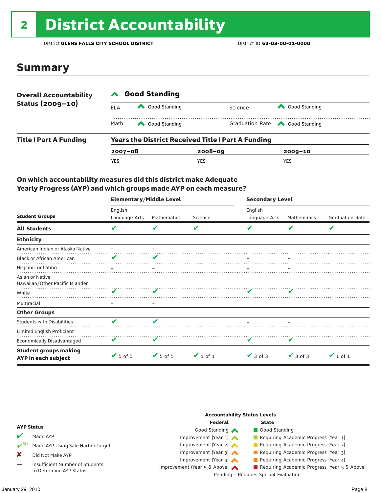# <sup>2</sup> District Accountability

District **GLENS FALLS CITY SCHOOL DISTRICT** District ID **63-03-00-01-0000**

### Summary

| <b>Overall Accountability</b><br>Status (2009-10) | <b>Good Standing</b> |               |                                                           |                                       |  |  |  |
|---------------------------------------------------|----------------------|---------------|-----------------------------------------------------------|---------------------------------------|--|--|--|
|                                                   | ELA                  | Good Standing | Science                                                   | Good Standing                         |  |  |  |
|                                                   | Math                 | Good Standing |                                                           | Graduation Rate <a> Good Standing</a> |  |  |  |
| <b>Title I Part A Funding</b>                     |                      |               | <b>Years the District Received Title I Part A Funding</b> |                                       |  |  |  |
|                                                   | $2007 - 08$          |               | $2008 - 09$                                               | $2009 - 10$                           |  |  |  |
|                                                   | YES                  |               | YES                                                       | YES                                   |  |  |  |

### On which accountability measures did this district make Adequate Yearly Progress (AYP) and which groups made AYP on each measure?

|                                                     | <b>Elementary/Middle Level</b> |               |               | <b>Secondary Level</b> |               |                        |  |
|-----------------------------------------------------|--------------------------------|---------------|---------------|------------------------|---------------|------------------------|--|
|                                                     | English                        |               |               | English                |               |                        |  |
| <b>Student Groups</b>                               | Language Arts                  | Mathematics   | Science       | Language Arts          | Mathematics   | <b>Graduation Rate</b> |  |
| <b>All Students</b>                                 | V                              | v             | V             | v                      | v             | V                      |  |
| <b>Ethnicity</b>                                    |                                |               |               |                        |               |                        |  |
| American Indian or Alaska Native                    |                                |               |               |                        |               |                        |  |
| <b>Black or African American</b>                    | V                              |               |               |                        |               |                        |  |
| Hispanic or Latino                                  |                                |               |               |                        |               |                        |  |
| Asian or Native<br>Hawaiian/Other Pacific Islander  |                                |               |               |                        |               |                        |  |
| White                                               | v                              |               |               |                        |               |                        |  |
| Multiracial                                         |                                |               |               |                        |               |                        |  |
| <b>Other Groups</b>                                 |                                |               |               |                        |               |                        |  |
| <b>Students with Disabilities</b>                   | v                              | v             |               |                        |               |                        |  |
| Limited English Proficient                          |                                |               |               |                        |               |                        |  |
| <b>Economically Disadvantaged</b>                   | V                              | v             |               |                        |               |                        |  |
| <b>Student groups making</b><br>AYP in each subject | $V$ 5 of 5                     | $\vee$ 5 of 5 | $\vee$ 1 of 1 | $\vee$ 3 of 3          | $\vee$ 3 of 3 | $\vee$ 1 of 1          |  |

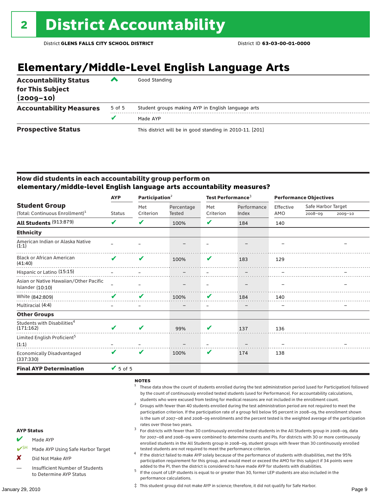## **Elementary/Middle-Level English Language Arts**

| <b>Accountability Status</b><br>for This Subject<br>$(2009 - 10)$ | ▰      | Good Standing                                            |
|-------------------------------------------------------------------|--------|----------------------------------------------------------|
| <b>Accountability Measures</b>                                    | 5 of 5 | Student groups making AYP in English language arts       |
|                                                                   |        | Made AYP                                                 |
| <b>Prospective Status</b>                                         |        | This district will be in good standing in 2010-11. [201] |

### How did students in each accountability group perform on **elementary/middle-level English language arts accountability measures?**

|                                                              | <b>AYP</b>                   |           | Participation $2$ |                          | Test Performance <sup>3</sup> |                          | <b>Performance Objectives</b> |             |  |
|--------------------------------------------------------------|------------------------------|-----------|-------------------|--------------------------|-------------------------------|--------------------------|-------------------------------|-------------|--|
| <b>Student Group</b>                                         |                              | Met       | Percentage        | Met                      | Performance                   | Effective                | Safe Harbor Target            |             |  |
| (Total: Continuous Enrollment) <sup>1</sup>                  | <b>Status</b>                | Criterion | <b>Tested</b>     | Criterion                | Index                         | AMO                      | $2008 - 09$                   | $2009 - 10$ |  |
| All Students (913:879)                                       | V                            | V         | 100%              | V                        | 184                           | 140                      |                               |             |  |
| <b>Ethnicity</b>                                             |                              |           |                   |                          |                               |                          |                               |             |  |
| American Indian or Alaska Native<br>(1:1)                    |                              |           |                   |                          |                               |                          |                               |             |  |
| <b>Black or African American</b><br>(41:40)                  | $\mathbf{v}$                 | ✔         | 100%              | V<br>. <b>.</b> .        | 183                           | 129                      |                               |             |  |
| Hispanic or Latino (15:15)                                   |                              |           |                   |                          |                               |                          |                               |             |  |
| Asian or Native Hawaiian/Other Pacific<br>Islander $(10:10)$ |                              |           | .                 |                          |                               |                          |                               |             |  |
| White (842:809)                                              | V                            | V         | 100%              | V                        | 184                           | 140                      |                               |             |  |
| Multiracial (4:4)                                            |                              |           |                   | $\overline{\phantom{m}}$ |                               | $\overline{\phantom{m}}$ |                               |             |  |
| <b>Other Groups</b>                                          |                              |           |                   |                          |                               |                          |                               |             |  |
| Students with Disabilities <sup>4</sup><br>(171:162)         | ✔                            | ı         | 99%               | V                        | 137                           | 136                      |                               |             |  |
| Limited English Proficient <sup>5</sup><br>(1:1)             |                              |           |                   |                          |                               |                          |                               |             |  |
| <b>Economically Disadvantaged</b><br>(337:330)               | $\boldsymbol{\mathcal{U}}$   | V         | 100%              | V                        | 174                           | 138                      |                               |             |  |
| <b>Final AYP Determination</b>                               | $\blacktriangleright$ 5 of 5 |           |                   |                          |                               |                          |                               |             |  |

### NOTES

- <sup>1</sup> These data show the count of students enrolled during the test administration period (used for Participation) followed by the count of continuously enrolled tested students (used for Performance). For accountability calculations,
- students who were excused from testing for medical reasons are not included in the enrollment count.<br><sup>2</sup> Groups with fewer than 40 students enrolled during the test administration period are not required to meet the participation criterion. If the participation rate of a group fell below 95 percent in 2008–09, the enrollment shown is the sum of 2007–08 and 2008–09 enrollments and the percent tested is the weighted average of the participation rates over those two years.<br><sup>3</sup> For districts with fewer than 30 continuously enrolled tested students in the All Students group in 2008–09, data
- for 2007–08 and 2008–09 were combined to determine counts and PIs. For districts with 30 or more continuously enrolled students in the All Students group in 2008–09, student groups with fewer than 30 continuously enrolled
- tested students are not required to meet the performance criterion. <sup>4</sup> If the district failed to make AYP solely because of the performance of students with disabilities, met the 95% participation requirement for this group, and would meet or exceed the AMO for this subject if 34 points were
- added to the PI, then the district is considered to have made AYP for students with disabilities.<br><sup>5</sup> If the count of LEP students is equal to or greater than 30, former LEP students are also included in the performance calculations.

‡ This student group did not make AYP in science; therefore, it did not qualify for Safe Harbor.

#### AYP Status

- Made AYP
- Made AYP Using Safe Harbor Target
- X Did Not Make AYP
- Insufficient Number of Students to Determine AYP Status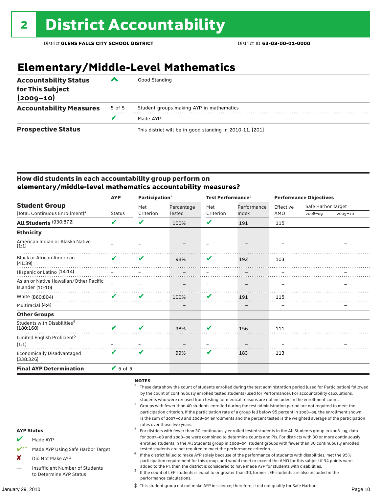## **Elementary/Middle-Level Mathematics**

| <b>Accountability Status</b><br>for This Subject<br>$(2009 - 10)$ | ▰      | Good Standing                                            |
|-------------------------------------------------------------------|--------|----------------------------------------------------------|
| <b>Accountability Measures</b>                                    | 5 of 5 | Student groups making AYP in mathematics                 |
|                                                                   | v      | Made AYP                                                 |
| <b>Prospective Status</b>                                         |        | This district will be in good standing in 2010-11. [201] |

### How did students in each accountability group perform on **elementary/middle-level mathematics accountability measures?**

|                                                            | <b>AYP</b>      | Participation $2$ |               | Test Performance <sup>3</sup> |             | <b>Performance Objectives</b> |                    |             |
|------------------------------------------------------------|-----------------|-------------------|---------------|-------------------------------|-------------|-------------------------------|--------------------|-------------|
| <b>Student Group</b>                                       |                 | Met               | Percentage    | Met                           | Performance | Effective                     | Safe Harbor Target |             |
| (Total: Continuous Enrollment) <sup>1</sup>                | <b>Status</b>   | Criterion         | <b>Tested</b> | Criterion                     | Index       | AMO                           | 2008-09            | $2009 - 10$ |
| All Students (930:872)                                     | V               | ✔                 | 100%          | V                             | 191         | 115                           |                    |             |
| <b>Ethnicity</b>                                           |                 |                   |               |                               |             |                               |                    |             |
| American Indian or Alaska Native<br>(1:1)                  |                 |                   |               |                               |             |                               |                    |             |
| <b>Black or African American</b><br>(41:39)                | $\mathbf{v}$    | V                 | 98%           | V                             | 192         | 103                           |                    |             |
| Hispanic or Latino (14:14)                                 |                 |                   |               |                               |             |                               |                    |             |
| Asian or Native Hawaiian/Other Pacific<br>Islander (10:10) |                 |                   |               |                               |             |                               |                    |             |
| White (860:804)                                            | $\mathbf{z}$    | v                 | 100%          | ✔                             | 191         | 115                           |                    |             |
| Multiracial (4:4)                                          |                 |                   |               |                               |             |                               |                    |             |
| <b>Other Groups</b>                                        |                 |                   |               |                               |             |                               |                    |             |
| Students with Disabilities <sup>4</sup><br>(180:160)       | V               | v                 | 98%           | v                             | 156         | 111                           |                    |             |
| Limited English Proficient <sup>5</sup><br>(1:1)           |                 |                   |               |                               |             |                               |                    |             |
| <b>Economically Disadvantaged</b><br>(338:326)             | $\mathbf{v}$    | V                 | 99%           | V                             | 183         | 113                           |                    |             |
| <b>Final AYP Determination</b>                             | $\sqrt{5}$ of 5 |                   |               |                               |             |                               |                    |             |

### NOTES

- <sup>1</sup> These data show the count of students enrolled during the test administration period (used for Participation) followed by the count of continuously enrolled tested students (used for Performance). For accountability calculations,
- students who were excused from testing for medical reasons are not included in the enrollment count.<br><sup>2</sup> Groups with fewer than 40 students enrolled during the test administration period are not required to meet the participation criterion. If the participation rate of a group fell below 95 percent in 2008–09, the enrollment shown is the sum of 2007–08 and 2008–09 enrollments and the percent tested is the weighted average of the participation rates over those two years.<br><sup>3</sup> For districts with fewer than 30 continuously enrolled tested students in the All Students group in 2008–09, data
- for 2007–08 and 2008–09 were combined to determine counts and PIs. For districts with 30 or more continuously enrolled students in the All Students group in 2008–09, student groups with fewer than 30 continuously enrolled
- tested students are not required to meet the performance criterion. <sup>4</sup> If the district failed to make AYP solely because of the performance of students with disabilities, met the 95% participation requirement for this group, and would meet or exceed the AMO for this subject if 34 points were
- added to the PI, then the district is considered to have made AYP for students with disabilities.<br> $5$  If the count of LEP students is equal to or greater than 30, former LEP students are also included in the performance calculations.

‡ This student group did not make AYP in science; therefore, it did not qualify for Safe Harbor.

#### AYP Status

- Made AYP
- Made AYP Using Safe Harbor Target
- X Did Not Make AYP
- Insufficient Number of Students to Determine AYP Status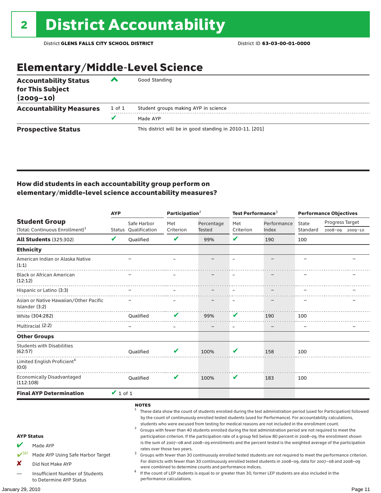## Elementary/Middle-Level Science

| <b>Accountability Status</b><br>for This Subject<br>$(2009 - 10)$ | ◚      | Good Standing                                            |
|-------------------------------------------------------------------|--------|----------------------------------------------------------|
| <b>Accountability Measures</b>                                    | 1 of 1 | Student groups making AYP in science                     |
|                                                                   | v      | Made AYP                                                 |
| <b>Prospective Status</b>                                         |        | This district will be in good standing in 2010-11. [201] |

### How did students in each accountability group perform on elementary/middle-level science accountability measures?

|                                           |                                                                                                      | <b>AYP</b>    |                                     | Participation <sup>2</sup>  |                                                            | Test Performance <sup>3</sup> |                                                                                                                                                                                                                                                                                                                                                                                                                                                                                                                                                                                                                                                                                                                                                                                                                                                                                                                                                                                                                                                                        | <b>Performance Objectives</b> |                                    |         |
|-------------------------------------------|------------------------------------------------------------------------------------------------------|---------------|-------------------------------------|-----------------------------|------------------------------------------------------------|-------------------------------|------------------------------------------------------------------------------------------------------------------------------------------------------------------------------------------------------------------------------------------------------------------------------------------------------------------------------------------------------------------------------------------------------------------------------------------------------------------------------------------------------------------------------------------------------------------------------------------------------------------------------------------------------------------------------------------------------------------------------------------------------------------------------------------------------------------------------------------------------------------------------------------------------------------------------------------------------------------------------------------------------------------------------------------------------------------------|-------------------------------|------------------------------------|---------|
|                                           | <b>Student Group</b><br>(Total: Continuous Enrollment) <sup>1</sup>                                  |               | Safe Harbor<br>Status Qualification | Met<br>Criterion            | Percentage<br><b>Tested</b>                                | Met<br>Criterion              | Performance<br>Index                                                                                                                                                                                                                                                                                                                                                                                                                                                                                                                                                                                                                                                                                                                                                                                                                                                                                                                                                                                                                                                   | State<br>Standard             | Progress Target<br>2008-09 2009-10 |         |
|                                           | <b>All Students (325:302)</b>                                                                        | V             | Qualified                           | $\mathbf{v}$                | 99%                                                        | V                             | 190                                                                                                                                                                                                                                                                                                                                                                                                                                                                                                                                                                                                                                                                                                                                                                                                                                                                                                                                                                                                                                                                    | 100                           |                                    |         |
| <b>Ethnicity</b>                          |                                                                                                      |               |                                     |                             |                                                            |                               |                                                                                                                                                                                                                                                                                                                                                                                                                                                                                                                                                                                                                                                                                                                                                                                                                                                                                                                                                                                                                                                                        |                               |                                    |         |
| (1:1)                                     | American Indian or Alaska Native                                                                     |               |                                     |                             |                                                            |                               |                                                                                                                                                                                                                                                                                                                                                                                                                                                                                                                                                                                                                                                                                                                                                                                                                                                                                                                                                                                                                                                                        | L.                            |                                    |         |
| (12:12)                                   | <b>Black or African American</b>                                                                     |               |                                     |                             |                                                            |                               |                                                                                                                                                                                                                                                                                                                                                                                                                                                                                                                                                                                                                                                                                                                                                                                                                                                                                                                                                                                                                                                                        |                               |                                    |         |
|                                           | Hispanic or Latino (3:3)                                                                             |               |                                     |                             |                                                            |                               |                                                                                                                                                                                                                                                                                                                                                                                                                                                                                                                                                                                                                                                                                                                                                                                                                                                                                                                                                                                                                                                                        |                               |                                    |         |
|                                           | Asian or Native Hawaiian/Other Pacific<br>Islander (3:2)                                             |               |                                     |                             |                                                            |                               |                                                                                                                                                                                                                                                                                                                                                                                                                                                                                                                                                                                                                                                                                                                                                                                                                                                                                                                                                                                                                                                                        |                               |                                    |         |
|                                           | White (304:282)                                                                                      |               | Qualified                           | V                           | 99%                                                        | v                             | 190                                                                                                                                                                                                                                                                                                                                                                                                                                                                                                                                                                                                                                                                                                                                                                                                                                                                                                                                                                                                                                                                    | 100                           |                                    |         |
|                                           | Multiracial (2:2)                                                                                    |               |                                     |                             |                                                            |                               |                                                                                                                                                                                                                                                                                                                                                                                                                                                                                                                                                                                                                                                                                                                                                                                                                                                                                                                                                                                                                                                                        |                               |                                    |         |
|                                           | <b>Other Groups</b>                                                                                  |               |                                     |                             |                                                            |                               |                                                                                                                                                                                                                                                                                                                                                                                                                                                                                                                                                                                                                                                                                                                                                                                                                                                                                                                                                                                                                                                                        |                               |                                    |         |
| (62:57)                                   | <b>Students with Disabilities</b>                                                                    |               | <b>Oualified</b>                    | v                           | 100%                                                       | V                             | 158                                                                                                                                                                                                                                                                                                                                                                                                                                                                                                                                                                                                                                                                                                                                                                                                                                                                                                                                                                                                                                                                    | 100                           |                                    |         |
| (0:0)                                     | Limited English Proficient <sup>4</sup>                                                              |               |                                     |                             |                                                            |                               |                                                                                                                                                                                                                                                                                                                                                                                                                                                                                                                                                                                                                                                                                                                                                                                                                                                                                                                                                                                                                                                                        |                               |                                    |         |
| (112:108)                                 | <b>Economically Disadvantaged</b>                                                                    |               | <b>Oualified</b>                    | V                           | 100%                                                       | V                             | 183                                                                                                                                                                                                                                                                                                                                                                                                                                                                                                                                                                                                                                                                                                                                                                                                                                                                                                                                                                                                                                                                    | 100                           |                                    |         |
|                                           | <b>Final AYP Determination</b>                                                                       | $\vee$ 1 of 1 |                                     |                             |                                                            |                               |                                                                                                                                                                                                                                                                                                                                                                                                                                                                                                                                                                                                                                                                                                                                                                                                                                                                                                                                                                                                                                                                        |                               |                                    |         |
| <b>AYP Status</b><br>$\mathbf{v}$ SH<br>x | Made AYP<br>Made AYP Using Safe Harbor Target<br>Did Not Make AYP<br>Insufficient Number of Students |               | <b>NOTES</b><br>$\mathbf{1}$<br>3   | rates over those two years. | were combined to determine counts and performance indices. |                               | These data show the count of students enrolled during the test administration period (used for Participation) followed<br>by the count of continuously enrolled tested students (used for Performance). For accountability calculations,<br>students who were excused from testing for medical reasons are not included in the enrollment count.<br>Groups with fewer than 40 students enrolled during the test administration period are not required to meet the<br>participation criterion. If the participation rate of a group fell below 80 percent in 2008-09, the enrollment shown<br>is the sum of 2007-08 and 2008-09 enrollments and the percent tested is the weighted average of the participation<br>Groups with fewer than 30 continuously enrolled tested students are not required to meet the performance criterion.<br>For districts with fewer than 30 continuously enrolled tested students in 2008-09, data for 2007-08 and 2008-09<br>If the count of LEP students is equal to or greater than 30, former LEP students are also included in the |                               |                                    |         |
|                                           | to Determine AYP Status                                                                              |               |                                     | performance calculations.   |                                                            |                               |                                                                                                                                                                                                                                                                                                                                                                                                                                                                                                                                                                                                                                                                                                                                                                                                                                                                                                                                                                                                                                                                        |                               |                                    |         |
| January 29, 2010                          |                                                                                                      |               |                                     |                             |                                                            |                               |                                                                                                                                                                                                                                                                                                                                                                                                                                                                                                                                                                                                                                                                                                                                                                                                                                                                                                                                                                                                                                                                        |                               |                                    | Page 11 |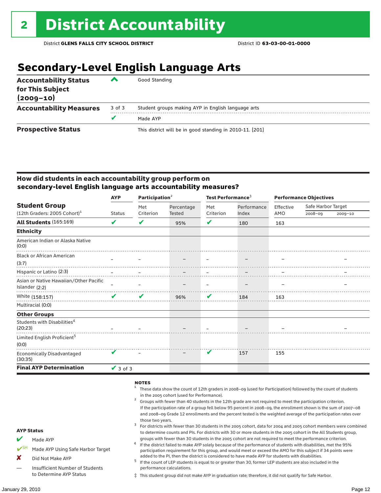## **Secondary-Level English Language Arts**

| <b>Accountability Status</b><br>for This Subject<br>$(2009 - 10)$ | ▰      | Good Standing                                            |
|-------------------------------------------------------------------|--------|----------------------------------------------------------|
| <b>Accountability Measures</b>                                    | 3 of 3 | Student groups making AYP in English language arts       |
|                                                                   |        | Made AYP                                                 |
| <b>Prospective Status</b>                                         |        | This district will be in good standing in 2010-11. [201] |

### How did students in each accountability group perform on **secondary-level English language arts accountability measures?**

|                                                    | <b>AYP</b>                      | Participation <sup>2</sup> |            | Test Performance <sup>3</sup> |             | <b>Performance Objectives</b> |                    |             |
|----------------------------------------------------|---------------------------------|----------------------------|------------|-------------------------------|-------------|-------------------------------|--------------------|-------------|
| <b>Student Group</b>                               |                                 | Met                        | Percentage | Met                           | Performance | Effective                     | Safe Harbor Target |             |
| $(12th$ Graders: 2005 Cohort) <sup>1</sup>         | <b>Status</b>                   | Criterion                  | Tested     | Criterion                     | Index       | AMO                           | 2008-09            | $2009 - 10$ |
| <b>All Students (165:169)</b>                      | V                               | ✔                          | 95%        | V                             | 180         | 163                           |                    |             |
| <b>Ethnicity</b>                                   |                                 |                            |            |                               |             |                               |                    |             |
| American Indian or Alaska Native<br>(0:0)          |                                 |                            |            |                               |             |                               |                    |             |
| <b>Black or African American</b>                   |                                 |                            |            |                               |             |                               |                    |             |
| (3:7)                                              |                                 |                            |            |                               |             |                               |                    |             |
| Hispanic or Latino (2:3)                           |                                 |                            |            |                               |             |                               |                    |             |
| Asian or Native Hawaiian/Other Pacific             |                                 |                            |            |                               |             |                               |                    |             |
| Islander (2:2)                                     |                                 |                            |            |                               |             |                               |                    |             |
| White (158:157)                                    | $\mathcal{L}$ and $\mathcal{L}$ | V                          | 96%        | V                             | 184         | 163                           |                    |             |
| Multiracial (0:0)                                  |                                 |                            |            |                               |             |                               |                    |             |
| <b>Other Groups</b>                                |                                 |                            |            |                               |             |                               |                    |             |
| Students with Disabilities <sup>4</sup><br>(20:23) |                                 |                            |            |                               |             |                               |                    |             |
| Limited English Proficient <sup>5</sup><br>(0:0)   |                                 |                            |            |                               |             |                               |                    |             |
| Economically Disadvantaged<br>(30:35)              |                                 |                            |            | V                             | 157         | 155                           |                    |             |
| <b>Final AYP Determination</b>                     | $\vee$ 3 of 3                   |                            |            |                               |             |                               |                    |             |

#### **NOTES**

- <sup>1</sup> These data show the count of 12th graders in 2008–09 (used for Participation) followed by the count of students
- in the 2005 cohort (used for Performance).<br>Groups with fewer than 40 students in the 12th grade are not required to meet the participation criterion. If the participation rate of a group fell below 95 percent in 2008–09, the enrollment shown is the sum of 2007–08 and 2008–09 Grade 12 enrollments and the percent tested is the weighted average of the participation rates over
- those two years.<br><sup>3</sup> For districts with fewer than 30 students in the 2005 cohort, data for 2004 and 2005 cohort members were combined to determine counts and PIs. For districts with 30 or more students in the 2005 cohort in the All Students group,
- groups with fewer than 30 students in the 2005 cohort are not required to meet the performance criterion.<br>If the district failed to make AYP solely because of the performance of students with disabilities, met the 95% participation requirement for this group, and would meet or exceed the AMO for this subject if 34 points were
- added to the PI, then the district is considered to have made AYP for students with disabilities.<br> $^5$  If the count of LEP students is equal to or greater than 30, former LEP students are also included in the performance calculations.
- ‡ This student group did not make AYP in graduation rate; therefore, it did not qualify for Safe Harbor.

AYP Status

Made AYP

X Did Not Make AYP

Made AYP Using Safe Harbor Target

— Insufficient Number of Students to Determine AYP Status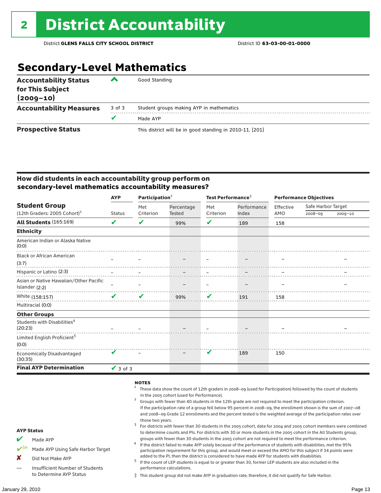## **Secondary-Level Mathematics**

| <b>Accountability Status</b><br>for This Subject<br>$(2009 - 10)$ | ‴      | Good Standing                                            |
|-------------------------------------------------------------------|--------|----------------------------------------------------------|
| <b>Accountability Measures</b>                                    | 3 of 3 | Student groups making AYP in mathematics                 |
|                                                                   |        | Made AYP                                                 |
| <b>Prospective Status</b>                                         |        | This district will be in good standing in 2010-11. [201] |

### How did students in each accountability group perform on **secondary-level mathematics accountability measures?**

|                                                    | <b>AYP</b>                 | Participation $2$ |               | Test Performance <sup>3</sup> |             | <b>Performance Objectives</b> |                    |             |
|----------------------------------------------------|----------------------------|-------------------|---------------|-------------------------------|-------------|-------------------------------|--------------------|-------------|
| <b>Student Group</b>                               |                            | Met               | Percentage    | Met                           | Performance | Effective                     | Safe Harbor Target |             |
| $(12th$ Graders: 2005 Cohort) <sup>1</sup>         | <b>Status</b>              | Criterion         | <b>Tested</b> | Criterion                     | Index       | AMO                           | 2008-09            | $2009 - 10$ |
| All Students (165:169)                             | V                          | V                 | 99%           | V                             | 189         | 158                           |                    |             |
| <b>Ethnicity</b>                                   |                            |                   |               |                               |             |                               |                    |             |
| American Indian or Alaska Native<br>(0:0)          |                            |                   |               |                               |             |                               |                    |             |
| <b>Black or African American</b>                   |                            |                   |               |                               |             |                               |                    |             |
| (3:7)                                              |                            |                   |               |                               |             |                               |                    |             |
|                                                    |                            |                   |               |                               |             |                               |                    |             |
| Asian or Native Hawaiian/Other Pacific             |                            |                   |               |                               |             |                               |                    |             |
| Islander (2:2)                                     |                            |                   |               |                               |             |                               |                    |             |
| White (158:157)                                    | $\boldsymbol{\mathcal{U}}$ | V                 | 99%           | V                             | 191         | 158                           |                    |             |
| Multiracial (0:0)                                  |                            |                   |               |                               |             |                               |                    |             |
| <b>Other Groups</b>                                |                            |                   |               |                               |             |                               |                    |             |
| Students with Disabilities <sup>4</sup><br>(20:23) |                            |                   |               |                               |             |                               |                    |             |
| Limited English Proficient <sup>5</sup><br>(0:0)   |                            |                   |               |                               |             |                               |                    |             |
| Economically Disadvantaged<br>(30:35)              |                            |                   |               | V                             | 189         | 150                           |                    |             |
| <b>Final AYP Determination</b>                     | $\vee$ 3 of 3              |                   |               |                               |             |                               |                    |             |

#### **NOTES**

- <sup>1</sup> These data show the count of 12th graders in 2008–09 (used for Participation) followed by the count of students in the 2005 cohort (used for Performance).<br>Groups with fewer than 40 students in the 12th grade are not required to meet the participation criterion.
	- If the participation rate of a group fell below 95 percent in 2008–09, the enrollment shown is the sum of 2007–08 and 2008–09 Grade 12 enrollments and the percent tested is the weighted average of the participation rates over
- those two years.<br><sup>3</sup> For districts with fewer than 30 students in the 2005 cohort, data for 2004 and 2005 cohort members were combined to determine counts and PIs. For districts with 30 or more students in the 2005 cohort in the All Students group,
- groups with fewer than 30 students in the 2005 cohort are not required to meet the performance criterion.<br>If the district failed to make AYP solely because of the performance of students with disabilities, met the 95% participation requirement for this group, and would meet or exceed the AMO for this subject if 34 points were
- added to the PI, then the district is considered to have made AYP for students with disabilities.<br> $^5$  If the count of LEP students is equal to or greater than 30, former LEP students are also included in the performance calculations.
- ‡ This student group did not make AYP in graduation rate; therefore, it did not qualify for Safe Harbor.

AYP Status  $M$  Made AYP

X Did Not Make AYP

✔SH Made AYP Using Safe Harbor Target

— Insufficient Number of Students to Determine AYP Status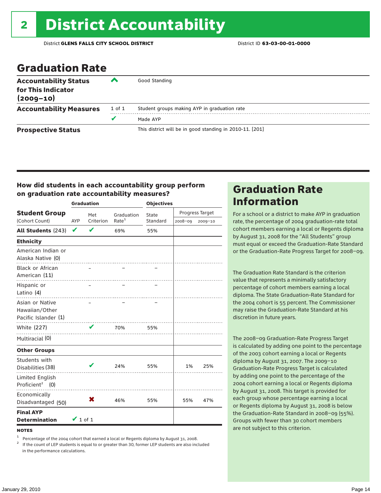## Graduation Rate

| <b>Accountability Status</b><br>for This Indicator<br>$(2009 - 10)$ | ‴      | Good Standing                                            |
|---------------------------------------------------------------------|--------|----------------------------------------------------------|
| <b>Accountability Measures</b>                                      | 1 of 1 | Student groups making AYP in graduation rate             |
|                                                                     |        | Made AYP                                                 |
| <b>Prospective Status</b>                                           |        | This district will be in good standing in 2010-11. [201] |

### How did students in each accountability group perform on graduation rate accountability measures?

|                                                           |               | <b>Graduation</b> |                   | <b>Objectives</b> |         |                 |  |
|-----------------------------------------------------------|---------------|-------------------|-------------------|-------------------|---------|-----------------|--|
| <b>Student Group</b>                                      |               | Met               | Graduation        | State             |         | Progress Target |  |
| (Cohort Count)                                            | AYP           | Criterion         | Rate <sup>1</sup> | Standard          | 2008-09 | 2009-10         |  |
| <b>All Students (243)</b>                                 | V             | ✔                 | 69%               | 55%               |         |                 |  |
| <b>Ethnicity</b>                                          |               |                   |                   |                   |         |                 |  |
| American Indian or<br>Alaska Native (0)                   |               |                   |                   |                   |         |                 |  |
| <b>Black or African</b><br>American (11)                  |               |                   |                   |                   |         |                 |  |
| Hispanic or<br>Latino (4)                                 |               |                   |                   |                   |         |                 |  |
| Asian or Native<br>Hawaiian/Other<br>Pacific Islander (1) |               |                   | .                 |                   |         |                 |  |
| <b>White (227)</b>                                        |               | $\mathbf{v}$      | 70%               | 55%               |         |                 |  |
| Multiracial (0)                                           |               |                   |                   |                   |         |                 |  |
| <b>Other Groups</b>                                       |               |                   |                   |                   |         |                 |  |
| Students with<br>Disabilities (38)                        |               |                   | 24%               | 55%               | 1%      | 25%             |  |
| <b>Limited English</b><br>Proficient <sup>2</sup> (0)     |               |                   | .                 |                   |         |                 |  |
| Economically<br>Disadvantaged (50)                        |               | X                 | 46%               | 55%               | 55%     | 47%             |  |
| <b>Final AYP</b><br><b>Determination</b>                  | $\vee$ 1 of 1 |                   |                   |                   |         |                 |  |

**NOTES** 

<sup>1</sup> Percentage of the 2004 cohort that earned a local or Regents diploma by August 31, 2008.<br><sup>2</sup> If the count of LEP students is equal to or greater than 30, former LEP students are also included in the performance calculations.

### Graduation Rate Information

For a school or a district to make AYP in graduation rate, the percentage of 2004 graduation-rate total cohort members earning a local or Regents diploma by August 31, 2008 for the "All Students" group must equal or exceed the Graduation-Rate Standard or the Graduation-Rate Progress Target for 2008–09.

The Graduation Rate Standard is the criterion value that represents a minimally satisfactory percentage of cohort members earning a local diploma. The State Graduation-Rate Standard for the 2004 cohort is 55 percent. The Commissioner may raise the Graduation-Rate Standard at his discretion in future years.

The 2008–09 Graduation-Rate Progress Target is calculated by adding one point to the percentage of the 2003 cohort earning a local or Regents diploma by August 31, 2007. The 2009–10 Graduation-Rate Progress Target is calculated by adding one point to the percentage of the 2004 cohort earning a local or Regents diploma by August 31, 2008. This target is provided for each group whose percentage earning a local or Regents diploma by August 31, 2008 is below the Graduation-Rate Standard in 2008–09 (55%). Groups with fewer than 30 cohort members are not subject to this criterion.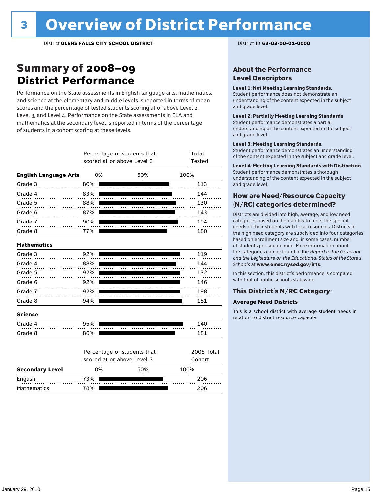### Summary of 2008–09 **District Performance**

Performance on the State assessments in English language arts, mathematics, and science at the elementary and middle levels is reported in terms of mean scores and the percentage of tested students scoring at or above Level 2, Level 3, and Level 4. Performance on the State assessments in ELA and mathematics at the secondary level is reported in terms of the percentage of students in a cohort scoring at these levels.

|                              |     | Percentage of students that<br>scored at or above Level 3 | Total<br>Tested |                      |
|------------------------------|-----|-----------------------------------------------------------|-----------------|----------------------|
| <b>English Language Arts</b> |     | 0%                                                        | 50%             | 100%                 |
| Grade 3                      | 80% |                                                           |                 | 113                  |
| Grade 4                      | 83% |                                                           |                 | 144                  |
| Grade 5                      | 88% |                                                           |                 | 130                  |
| Grade 6                      | 87% |                                                           |                 | 143                  |
| Grade 7                      | 90% |                                                           |                 | 194                  |
| Grade 8                      | 77% |                                                           |                 | 180                  |
| <b>Mathematics</b>           |     |                                                           |                 |                      |
| Grade 3                      | 92% |                                                           |                 | 119                  |
| Grade 4                      | 88% |                                                           |                 | 144                  |
| Grade 5                      | 92% |                                                           |                 | 132                  |
| Grade 6                      | 92% |                                                           |                 | 146                  |
| Grade 7                      | 92% |                                                           |                 | 198                  |
| Grade 8                      | 94% |                                                           |                 | 181                  |
| <b>Science</b>               |     |                                                           |                 |                      |
| Grade 4                      | 95% |                                                           |                 | 140                  |
| Grade 8                      | 86% |                                                           |                 | 181                  |
|                              |     | Percentage of students that<br>scored at or above Level 3 |                 | 2005 Total<br>Cohort |
| <b>Secondary Level</b>       |     | 0%                                                        | 50%             | 100%                 |
| English                      | 73% |                                                           |                 | 206                  |

Mathematics 78% 206

### About the Performance Level Descriptors

#### Level 1: Not Meeting Learning Standards.

Student performance does not demonstrate an understanding of the content expected in the subject and grade level.

#### Level 2: Partially Meeting Learning Standards.

Student performance demonstrates a partial understanding of the content expected in the subject and grade level.

#### Level 3: Meeting Learning Standards.

Student performance demonstrates an understanding of the content expected in the subject and grade level.

#### Level 4: Meeting Learning Standards with Distinction.

Student performance demonstrates a thorough understanding of the content expected in the subject and grade level.

### How are Need/Resource Capacity (N/RC) categories determined?

Districts are divided into high, average, and low need categories based on their ability to meet the special needs of their students with local resources. Districts in the high need category are subdivided into four categories based on enrollment size and, in some cases, number of students per square mile. More information about the categories can be found in the *Report to the Governor and the Legislature on the Educational Status of the State's Schools* at www.emsc.nysed.gov/irts.

In this section, this district's performance is compared with that of public schools statewide.

### This District's N/RC Category:

#### **Average Need Districts**

This is a school district with average student needs in relation to district resource capacity.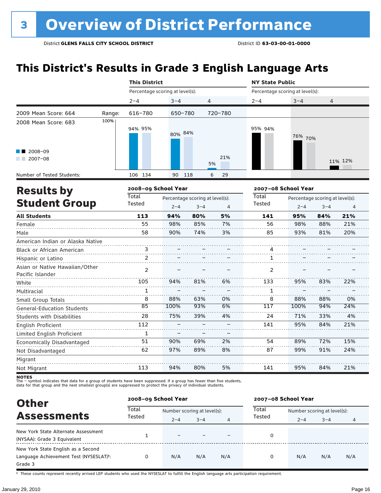## **This District's Results in Grade 3 English Language Arts**

|                                                    |        | <b>This District</b>            |         |                                            |         | <b>NY State Public</b>          |                                                       |     |                |  |
|----------------------------------------------------|--------|---------------------------------|---------|--------------------------------------------|---------|---------------------------------|-------------------------------------------------------|-----|----------------|--|
|                                                    |        | Percentage scoring at level(s): |         |                                            |         | Percentage scoring at level(s): |                                                       |     |                |  |
|                                                    |        | $2 - 4$                         | $3 - 4$ | 4                                          |         | $2 - 4$                         | $3 - 4$                                               | 4   |                |  |
| 2009 Mean Score: 664                               | Range: | 616-780                         | 650-780 |                                            | 720-780 |                                 |                                                       |     |                |  |
| 2008 Mean Score: 683                               | 100%   | 94% 95%                         | 80% 84% |                                            |         | 95% 94%                         | 76% 70%                                               |     |                |  |
| 2008-09<br>$2007 - 08$                             |        |                                 |         | 5%                                         | 21%     |                                 |                                                       |     | 11% 12%        |  |
| Number of Tested Students:                         |        | 106 134                         | 90      | 118<br>6                                   | 29      |                                 |                                                       |     |                |  |
| <b>Results by</b>                                  |        | 2008-09 School Year             |         |                                            |         |                                 | 2007-08 School Year                                   |     |                |  |
| <b>Student Group</b>                               |        | <b>Total</b><br>Tested          | $2 - 4$ | Percentage scoring at level(s):<br>$3 - 4$ | 4       | Total<br>Tested                 | Percentage scoring at level(s):<br>$2 - 4$<br>$3 - 4$ |     | $\overline{4}$ |  |
| <b>All Students</b>                                |        | 113                             | 94%     | 80%                                        | 5%      | 141                             | 95%                                                   | 84% | 21%            |  |
| Female                                             |        | 55                              | 98%     | 85%                                        | 7%      | 56                              | 98%                                                   | 88% | 21%            |  |
| Male                                               |        | 58                              | 90%     | 74%                                        | 3%      | 85                              | 93%                                                   | 81% | 20%            |  |
| American Indian or Alaska Native                   |        |                                 |         |                                            |         |                                 |                                                       |     |                |  |
| Black or African American                          |        | 3                               |         |                                            |         | 4                               |                                                       |     |                |  |
| Hispanic or Latino                                 |        | 2                               |         |                                            |         | 1                               |                                                       |     |                |  |
| Asian or Native Hawaiian/Other<br>Pacific Islander |        | 2                               |         |                                            |         | 2                               |                                                       |     |                |  |
| White                                              |        | 105                             | 94%     | 81%                                        | 6%      | 133                             | 95%                                                   | 83% | 22%            |  |
| Multiracial                                        |        | $\mathbf{1}$                    |         |                                            |         | 1                               |                                                       |     |                |  |
| Small Group Totals                                 |        | 8                               | 88%     | 63%                                        | 0%      | 8                               | 88%                                                   | 88% | 0%             |  |
| <b>General-Education Students</b>                  |        | 85                              | 100%    | 93%                                        | 6%      | 117                             | 100%                                                  | 94% | 24%            |  |
| <b>Students with Disabilities</b>                  |        | 28                              | 75%     | 39%                                        | 4%      | 24                              | 71%                                                   | 33% | 4%             |  |
| English Proficient                                 |        | 112                             |         |                                            |         | 141                             | 95%                                                   | 84% | 21%            |  |
| Limited English Proficient                         |        | 1                               |         |                                            |         |                                 |                                                       |     |                |  |
| Economically Disadvantaged                         |        | 51                              | 90%     | 69%                                        | 2%      | 54                              | 89%                                                   | 72% | 15%            |  |
| Not Disadvantaged                                  |        | 62                              | 97%     | 89%                                        | 8%      | 87                              | 99%                                                   | 91% | 24%            |  |
| Migrant                                            |        |                                 |         |                                            |         |                                 |                                                       |     |                |  |
| Not Migrant                                        |        | 113                             | 94%     | 80%                                        | 5%      | 141                             | 95%                                                   | 84% | 21%            |  |

**NOTES**<br>The – symbol indicates that data for a group of students have been suppressed. If a group has fewer than five students,<br>data for that group and the next smallest group(s) are suppressed to protect the privacy of in

| <b>Other</b><br><b>Assessments</b>     |                 | 2008-09 School Year         |         |     | 2007-08 School Year |                             |         |     |  |
|----------------------------------------|-----------------|-----------------------------|---------|-----|---------------------|-----------------------------|---------|-----|--|
|                                        | Total<br>Tested | Number scoring at level(s): |         |     | Total               | Number scoring at level(s): |         |     |  |
|                                        |                 | $2 - 4$                     | $3 - 4$ | 4   | Tested              | $2 - 4$                     | $3 - 4$ | 4   |  |
| New York State Alternate Assessment    |                 |                             |         |     |                     |                             |         |     |  |
| (NYSAA): Grade 3 Equivalent            |                 | $\overline{\phantom{0}}$    |         |     | 0                   |                             |         |     |  |
| New York State English as a Second     |                 |                             |         |     |                     |                             |         |     |  |
| Language Achievement Test (NYSESLAT)t: | 0               | N/A                         | N/A     | N/A | 0                   | N/A                         | N/A     | N/A |  |
| Grade 3                                |                 |                             |         |     |                     |                             |         |     |  |

† These counts represent recently arrived LEP students who used the NYSESLAT to fulfill the English language arts participation requirement.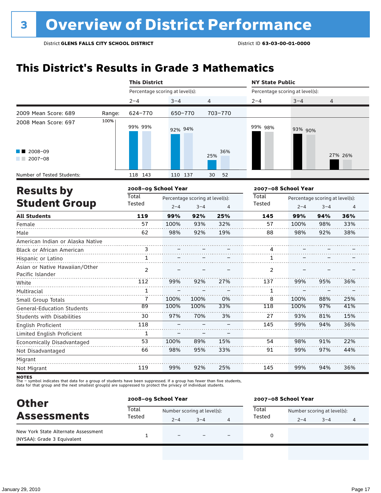## **This District's Results in Grade 3 Mathematics**

|                                                    |        | <b>This District</b>            |         |                                            |            | <b>NY State Public</b>          |                                                                         |     |         |  |
|----------------------------------------------------|--------|---------------------------------|---------|--------------------------------------------|------------|---------------------------------|-------------------------------------------------------------------------|-----|---------|--|
|                                                    |        | Percentage scoring at level(s): |         |                                            |            | Percentage scoring at level(s): |                                                                         |     |         |  |
|                                                    |        | $2 - 4$                         | $3 - 4$ | $\overline{4}$                             |            | $2 - 4$                         | $3 - 4$                                                                 | 4   |         |  |
| 2009 Mean Score: 689                               | Range: | 624-770                         | 650-770 |                                            | 703-770    |                                 |                                                                         |     |         |  |
| 2008 Mean Score: 697                               | 100%   | 99% 99%                         | 92% 94% |                                            |            | 99% 98%                         | 93% 90%                                                                 |     |         |  |
| 2008-09<br>$\sqrt{2007-08}$                        |        |                                 |         |                                            | 36%<br>25% |                                 |                                                                         |     | 27% 26% |  |
| Number of Tested Students:                         |        | 118 143                         | 110 137 |                                            | 30<br>52   |                                 |                                                                         |     |         |  |
| <b>Results by</b>                                  |        | 2008-09 School Year             |         |                                            |            |                                 | 2007-08 School Year                                                     |     |         |  |
| <b>Student Group</b>                               |        | Total<br>Tested                 | $2 - 4$ | Percentage scoring at level(s):<br>$3 - 4$ | 4          | Total<br>Tested                 | Percentage scoring at level(s):<br>$2 - 4$<br>$3 - 4$<br>$\overline{4}$ |     |         |  |
| <b>All Students</b>                                |        | 119                             | 99%     | 92%                                        | 25%        | 145                             | 99%                                                                     | 94% | 36%     |  |
| Female                                             |        | 57                              | 100%    | 93%                                        | 32%        | 57                              | 100%                                                                    | 98% | 33%     |  |
| Male                                               |        | 62                              | 98%     | 92%                                        | 19%        | 88                              | 98%                                                                     | 92% | 38%     |  |
| American Indian or Alaska Native                   |        |                                 |         |                                            |            |                                 |                                                                         |     |         |  |
| Black or African American                          |        | 3                               |         |                                            |            | 4                               |                                                                         |     |         |  |
| Hispanic or Latino                                 |        | 1                               |         |                                            |            | 1                               |                                                                         |     |         |  |
| Asian or Native Hawaiian/Other<br>Pacific Islander |        | $\overline{2}$                  |         |                                            |            | $\overline{2}$                  |                                                                         |     |         |  |
| White                                              |        | 112                             | 99%     | 92%                                        | 27%        | 137                             | 99%                                                                     | 95% | 36%     |  |
| Multiracial                                        |        | $\mathbf{1}$                    |         |                                            |            | $\mathbf{1}$                    |                                                                         |     |         |  |
| Small Group Totals                                 |        | 7                               | 100%    | 100%                                       | 0%         | 8                               | 100%                                                                    | 88% | 25%     |  |
| <b>General-Education Students</b>                  |        | 89                              | 100%    | 100%                                       | 33%        | 118                             | 100%                                                                    | 97% | 41%     |  |
| Students with Disabilities                         |        | 30                              | 97%     | 70%                                        | 3%         | 27                              | 93%                                                                     | 81% | 15%     |  |
| English Proficient                                 |        | 118                             |         |                                            |            | 145                             | 99%                                                                     | 94% | 36%     |  |
| Limited English Proficient                         |        | $\mathbf{1}$                    |         |                                            |            |                                 |                                                                         |     |         |  |
| Economically Disadvantaged                         |        | 53                              | 100%    | 89%                                        | 15%        | 54                              | 98%                                                                     | 91% | 22%     |  |
| Not Disadvantaged                                  |        | 66                              | 98%     | 95%                                        | 33%        | 91                              | 99%                                                                     | 97% | 44%     |  |
| Migrant                                            |        |                                 |         |                                            |            |                                 |                                                                         |     |         |  |
| Not Migrant                                        |        | 119                             | 99%     | 92%                                        | 25%        | 145                             | 99%                                                                     | 94% | 36%     |  |

| <b>Other</b><br><b>Assessments</b>                                 | 2008-09 School Year |                             |         |  | 2007-08 School Year |                             |         |   |  |
|--------------------------------------------------------------------|---------------------|-----------------------------|---------|--|---------------------|-----------------------------|---------|---|--|
|                                                                    | Total<br>Tested     | Number scoring at level(s): |         |  | Total               | Number scoring at level(s): |         |   |  |
|                                                                    |                     | $2 - 4$                     | $3 - 4$ |  | Tested              | $2 - 4$                     | $3 - 4$ | 4 |  |
| New York State Alternate Assessment<br>(NYSAA): Grade 3 Equivalent |                     | $\equiv$                    |         |  |                     |                             |         |   |  |
|                                                                    |                     |                             |         |  |                     |                             |         |   |  |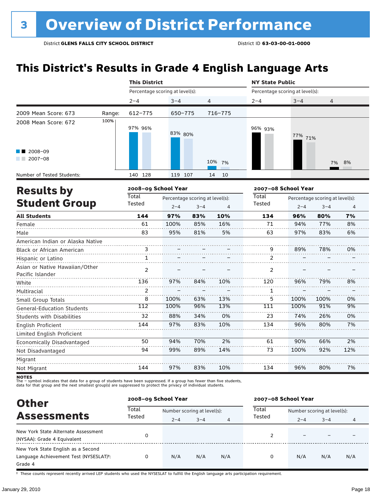## **This District's Results in Grade 4 English Language Arts**

|                                                    |        | <b>This District</b>            |                     |                                 |           | <b>NY State Public</b>          |                     |                                 |                |  |
|----------------------------------------------------|--------|---------------------------------|---------------------|---------------------------------|-----------|---------------------------------|---------------------|---------------------------------|----------------|--|
|                                                    |        | Percentage scoring at level(s): |                     |                                 |           | Percentage scoring at level(s): |                     |                                 |                |  |
|                                                    |        | $2 - 4$                         | $3 - 4$             | 4                               |           | $2 - 4$                         | $3 - 4$             | 4                               |                |  |
| 2009 Mean Score: 673                               | Range: | $612 - 775$                     | 650-775             |                                 | 716-775   |                                 |                     |                                 |                |  |
| 2008 Mean Score: 672                               | 100%   | 97% 96%                         | 83% 80%             |                                 |           | 96% 93%                         | 77% 71%             |                                 |                |  |
| $\blacksquare$ 2008-09<br>$2007 - 08$              |        |                                 |                     |                                 | 10%<br>7% |                                 |                     | 7%                              | 8%             |  |
| Number of Tested Students:                         |        | 140 128                         | 119 107             |                                 | 14<br>10  |                                 |                     |                                 |                |  |
| <b>Results by</b>                                  |        |                                 | 2008-09 School Year |                                 |           |                                 | 2007-08 School Year |                                 |                |  |
|                                                    |        | Total                           |                     | Percentage scoring at level(s): |           | Total                           |                     | Percentage scoring at level(s): |                |  |
| <b>Student Group</b>                               |        | Tested                          | $2 - 4$             | $3 - 4$                         | 4         | Tested                          | $2 - 4$             | $3 - 4$                         | $\overline{4}$ |  |
| <b>All Students</b>                                |        | 144                             | 97%                 | 83%                             | 10%       | 134                             | 96%                 | 80%                             | 7%             |  |
| Female                                             |        | 61                              | 100%                | 85%                             | 16%       | 71                              | 94%                 | 77%                             | 8%             |  |
| Male                                               |        | 83                              | 95%                 | 81%                             | 5%        | 63                              | 97%                 | 83%                             | 6%             |  |
| American Indian or Alaska Native                   |        |                                 |                     |                                 |           |                                 |                     |                                 |                |  |
| Black or African American                          |        | 3                               |                     |                                 |           | 9                               | 89%                 | 78%                             | 0%             |  |
| Hispanic or Latino                                 |        | $\mathbf{1}$                    |                     |                                 |           | 2                               |                     |                                 |                |  |
| Asian or Native Hawaiian/Other<br>Pacific Islander |        | 2                               |                     |                                 |           | 2                               |                     |                                 |                |  |
| White                                              |        | 136                             | 97%                 | 84%                             | 10%       | 120                             | 96%                 | 79%                             | 8%             |  |
| Multiracial                                        |        | 2                               |                     |                                 |           | 1                               |                     |                                 |                |  |
| Small Group Totals                                 |        | 8                               | 100%                | 63%                             | 13%       | 5                               | 100%                | 100%                            | 0%             |  |
| <b>General-Education Students</b>                  |        | 112                             | 100%                | 96%                             | 13%       | 111                             | 100%                | 91%                             | 9%             |  |
| <b>Students with Disabilities</b>                  |        | 32                              | 88%                 | 34%                             | 0%        | 23                              | 74%                 | 26%                             | 0%             |  |
| English Proficient                                 |        | 144                             | 97%                 | 83%                             | 10%       | 134                             | 96%                 | 80%                             | 7%             |  |
| Limited English Proficient                         |        |                                 |                     |                                 |           |                                 |                     |                                 |                |  |
| Economically Disadvantaged                         |        | 50                              | 94%                 | 70%                             | 2%        | 61                              | 90%                 | 66%                             | 2%             |  |
| Not Disadvantaged                                  |        | 94                              | 99%                 | 89%                             | 14%       | 73                              | 100%                | 92%                             | 12%            |  |
| Migrant                                            |        |                                 |                     |                                 |           |                                 |                     |                                 |                |  |
| Not Migrant                                        |        | 144                             | 97%                 | 83%                             | 10%       | 134                             | 96%                 | 80%                             | 7%             |  |

**NOTES**<br>The – symbol indicates that data for a group of students have been suppressed. If a group has fewer than five students,<br>data for that group and the next smallest group(s) are suppressed to protect the privacy of in

| <b>Other</b>                                                                                         | 2008-09 School Year |                             |         |     | 2007-08 School Year |                             |         |     |  |
|------------------------------------------------------------------------------------------------------|---------------------|-----------------------------|---------|-----|---------------------|-----------------------------|---------|-----|--|
| <b>Assessments</b>                                                                                   | Total<br>Tested     | Number scoring at level(s): |         |     | Total               | Number scoring at level(s): |         |     |  |
|                                                                                                      |                     | $2 - 4$                     | $3 - 4$ | 4   | Tested              | $2 - 4$                     | $3 - 4$ | 4   |  |
| New York State Alternate Assessment<br>(NYSAA): Grade 4 Equivalent                                   | 0                   |                             |         |     | າ                   |                             |         |     |  |
| New York State English as a Second<br>Language Achievement Test (NYSESLAT) <sup>t</sup> :<br>Grade 4 | 0                   | N/A                         | N/A     | N/A | 0                   | N/A                         | N/A     | N/A |  |

† These counts represent recently arrived LEP students who used the NYSESLAT to fulfill the English language arts participation requirement.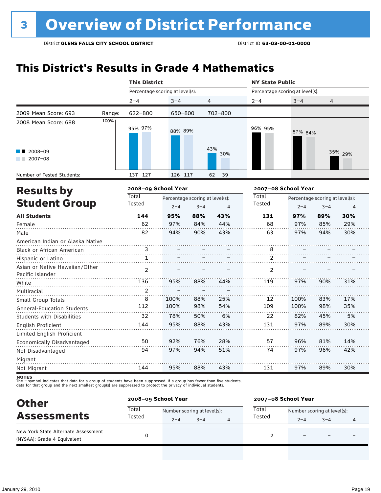## **This District's Results in Grade 4 Mathematics**

|                                                    |        | <b>This District</b>            |         |                                 |            | <b>NY State Public</b>          |                     |                                 |         |  |
|----------------------------------------------------|--------|---------------------------------|---------|---------------------------------|------------|---------------------------------|---------------------|---------------------------------|---------|--|
|                                                    |        | Percentage scoring at level(s): |         |                                 |            | Percentage scoring at level(s): |                     |                                 |         |  |
|                                                    |        | $2 - 4$                         | $3 - 4$ | 4                               |            | $2 - 4$                         | $3 - 4$             | 4                               |         |  |
| 2009 Mean Score: 693                               | Range: | 622-800                         | 650-800 |                                 | 702-800    |                                 |                     |                                 |         |  |
| 2008 Mean Score: 688                               | 100%   | 95% 97%                         | 88% 89% |                                 |            | 96% 95%                         | 87% 84%             |                                 |         |  |
| 2008-09<br>2007-08                                 |        |                                 |         |                                 | 43%<br>30% |                                 |                     |                                 | 35% 29% |  |
| Number of Tested Students:                         |        | 137 127                         | 126 117 |                                 | 62<br>39   |                                 |                     |                                 |         |  |
| <b>Results by</b>                                  |        | 2008-09 School Year             |         |                                 |            |                                 | 2007-08 School Year |                                 |         |  |
|                                                    |        | <b>Total</b>                    |         | Percentage scoring at level(s): |            | <b>Total</b>                    |                     | Percentage scoring at level(s): |         |  |
| <b>Student Group</b>                               | Tested | $2 - 4$                         | $3 - 4$ | 4                               | Tested     | $2 - 4$                         | $3 - 4$             | 4                               |         |  |
| <b>All Students</b>                                |        | 144                             | 95%     | 88%                             | 43%        | 131                             | 97%                 | 89%                             | 30%     |  |
| Female                                             |        | 62                              | 97%     | 84%                             | 44%        | 68                              | 97%                 | 85%                             | 29%     |  |
| Male                                               |        | 82                              | 94%     | 90%                             | 43%        | 63                              | 97%                 | 94%                             | 30%     |  |
| American Indian or Alaska Native                   |        |                                 |         |                                 |            |                                 |                     |                                 |         |  |
| Black or African American                          |        | 3                               |         |                                 |            | 8                               |                     |                                 |         |  |
| Hispanic or Latino                                 |        | $\mathbf{1}$                    |         |                                 |            | $\overline{2}$                  |                     |                                 |         |  |
| Asian or Native Hawaiian/Other<br>Pacific Islander |        | $\overline{2}$                  |         |                                 |            | $\overline{2}$                  |                     |                                 |         |  |
| White                                              |        | 136                             | 95%     | 88%                             | 44%        | 119                             | 97%                 | 90%                             | 31%     |  |
| Multiracial                                        |        | 2                               |         |                                 |            |                                 |                     |                                 |         |  |
| Small Group Totals                                 |        | 8                               | 100%    | 88%                             | 25%        | 12                              | 100%                | 83%                             | 17%     |  |
| <b>General-Education Students</b>                  |        | 112                             | 100%    | 98%                             | 54%        | 109                             | 100%                | 98%                             | 35%     |  |
| <b>Students with Disabilities</b>                  |        | 32                              | 78%     | 50%                             | 6%         | 22                              | 82%                 | 45%                             | 5%      |  |
| English Proficient                                 |        | 144                             | 95%     | 88%                             | 43%        | 131                             | 97%                 | 89%                             | 30%     |  |
| Limited English Proficient                         |        |                                 |         |                                 |            |                                 |                     |                                 |         |  |
| Economically Disadvantaged                         |        | 50                              | 92%     | 76%                             | 28%        | 57                              | 96%                 | 81%                             | 14%     |  |
| Not Disadvantaged                                  |        | 94                              | 97%     | 94%                             | 51%        | 74                              | 97%                 | 96%                             | 42%     |  |
| Migrant                                            |        |                                 |         |                                 |            |                                 |                     |                                 |         |  |
| Not Migrant                                        |        | 144                             | 95%     | 88%                             | 43%        | 131                             | 97%                 | 89%                             | 30%     |  |

| <b>Other</b><br><b>Assessments</b>                                 |                 | 2008-09 School Year |                             |   |        | 2007-08 School Year         |         |   |  |  |
|--------------------------------------------------------------------|-----------------|---------------------|-----------------------------|---|--------|-----------------------------|---------|---|--|--|
|                                                                    | Total<br>Tested |                     | Number scoring at level(s): |   | Total  | Number scoring at level(s): |         |   |  |  |
|                                                                    |                 | $2 - 4$             | $3 - 4$                     | 4 | Tested | $2 - 4$                     | $3 - 4$ | 4 |  |  |
| New York State Alternate Assessment<br>(NYSAA): Grade 4 Equivalent |                 |                     |                             |   |        |                             |         |   |  |  |
|                                                                    |                 |                     |                             |   |        |                             |         |   |  |  |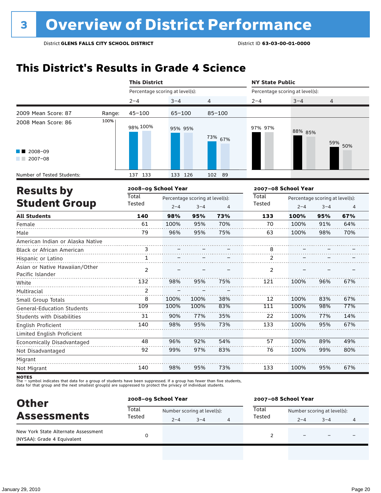## **This District's Results in Grade 4 Science**

|                                                    |                        | <b>This District</b>            |                                            |      |                        | <b>NY State Public</b>          |                                            |                |     |  |
|----------------------------------------------------|------------------------|---------------------------------|--------------------------------------------|------|------------------------|---------------------------------|--------------------------------------------|----------------|-----|--|
|                                                    |                        | Percentage scoring at level(s): |                                            |      |                        | Percentage scoring at level(s): |                                            |                |     |  |
|                                                    |                        | $2 - 4$                         | $3 - 4$                                    |      | 4                      | $2 - 4$                         | $3 - 4$                                    | $\overline{4}$ |     |  |
| 2009 Mean Score: 87                                | Range:                 | $45 - 100$                      | 65-100                                     |      | $85 - 100$             |                                 |                                            |                |     |  |
| 2008 Mean Score: 86                                | 100%                   | 98% 100%                        | 95% 95%                                    |      | 73% 67%                | 97% 97%                         | 88% 85%                                    | 59%            | 50% |  |
| 2008-09<br>$2007 - 08$                             |                        |                                 |                                            |      |                        |                                 |                                            |                |     |  |
| Number of Tested Students:                         |                        | 137 133                         | 133 126                                    |      | 102 89                 |                                 |                                            |                |     |  |
| <b>Results by</b>                                  |                        | 2008-09 School Year             |                                            |      |                        | 2007-08 School Year             |                                            |                |     |  |
| <b>Student Group</b>                               | <b>Total</b><br>Tested | $2 - 4$                         | Percentage scoring at level(s):<br>$3 - 4$ | 4    | <b>Total</b><br>Tested | $2 - 4$                         | Percentage scoring at level(s):<br>$3 - 4$ | $\overline{4}$ |     |  |
| <b>All Students</b>                                |                        | 140                             | 98%                                        | 95%  | 73%                    | 133                             | 100%                                       | 95%            | 67% |  |
| Female                                             |                        | 61                              | 100%                                       | 95%  | 70%                    | 70                              | 100%                                       | 91%            | 64% |  |
| Male                                               |                        | 79                              | 96%                                        | 95%  | 75%                    | 63                              | 100%                                       | 98%            | 70% |  |
| American Indian or Alaska Native                   |                        |                                 |                                            |      |                        |                                 |                                            |                |     |  |
| Black or African American                          |                        | 3                               |                                            |      |                        | 8                               |                                            |                |     |  |
| Hispanic or Latino                                 |                        | $\mathbf{1}$                    |                                            |      |                        | 2                               |                                            |                |     |  |
| Asian or Native Hawaiian/Other<br>Pacific Islander |                        | $\overline{2}$                  |                                            |      |                        | 2                               |                                            |                |     |  |
| White                                              |                        | 132                             | 98%                                        | 95%  | 75%                    | 121                             | 100%                                       | 96%            | 67% |  |
| Multiracial                                        |                        | $\overline{2}$                  |                                            |      |                        |                                 |                                            |                |     |  |
| Small Group Totals                                 |                        | 8                               | 100%                                       | 100% | 38%                    | 12                              | 100%                                       | 83%            | 67% |  |
| <b>General-Education Students</b>                  |                        | 109                             | 100%                                       | 100% | 83%                    | 111                             | 100%                                       | 98%            | 77% |  |
| <b>Students with Disabilities</b>                  |                        | 31                              | 90%                                        | 77%  | 35%                    | 22                              | 100%                                       | 77%            | 14% |  |
| English Proficient                                 |                        | 140                             | 98%                                        | 95%  | 73%                    | 133                             | 100%                                       | 95%            | 67% |  |
| Limited English Proficient                         |                        |                                 |                                            |      |                        |                                 |                                            |                |     |  |
| Economically Disadvantaged                         |                        | 48                              | 96%                                        | 92%  | 54%                    | 57                              | 100%                                       | 89%            | 49% |  |
| Not Disadvantaged                                  |                        | 92                              | 99%                                        | 97%  | 83%                    | 76                              | 100%                                       | 99%            | 80% |  |
| Migrant                                            |                        |                                 |                                            |      |                        |                                 |                                            |                |     |  |
| Not Migrant                                        |                        | 140                             | 98%                                        | 95%  | 73%                    | 133                             | 100%                                       | 95%            | 67% |  |

| <b>Other</b><br><b>Assessments</b>                                 |                 | 2008-09 School Year         |         |  |        | 2007-08 School Year         |         |  |  |  |
|--------------------------------------------------------------------|-----------------|-----------------------------|---------|--|--------|-----------------------------|---------|--|--|--|
|                                                                    | Total<br>Tested | Number scoring at level(s): |         |  | Total  | Number scoring at level(s): |         |  |  |  |
|                                                                    |                 | $2 - 4$                     | $3 - 4$ |  | Tested | $2 - 4$                     | $3 - 4$ |  |  |  |
| New York State Alternate Assessment<br>(NYSAA): Grade 4 Equivalent |                 |                             |         |  |        |                             | -       |  |  |  |
|                                                                    |                 |                             |         |  |        |                             |         |  |  |  |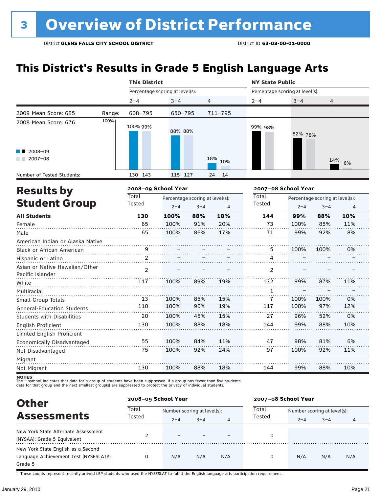## **This District's Results in Grade 5 English Language Arts**

|                                                    |        | <b>This District</b>   |                                            |         |             | <b>NY State Public</b>          |         |                                                 |     |  |
|----------------------------------------------------|--------|------------------------|--------------------------------------------|---------|-------------|---------------------------------|---------|-------------------------------------------------|-----|--|
|                                                    |        |                        | Percentage scoring at level(s):            |         |             | Percentage scoring at level(s): |         |                                                 |     |  |
|                                                    |        | $2 - 4$                | $3 - 4$                                    | 4       |             | $2 - 4$                         | $3 - 4$ | 4                                               |     |  |
| 2009 Mean Score: 685                               | Range: | $608 - 795$            | 650-795                                    |         | $711 - 795$ |                                 |         |                                                 |     |  |
| 2008 Mean Score: 676                               | 100%   | 100% 99%               | 88% 88%                                    |         |             | 99% 98%                         | 82% 78% |                                                 |     |  |
| 2008-09<br>$2007 - 08$                             |        |                        |                                            |         | 18%<br>10%  |                                 |         | 14%                                             | 6%  |  |
| Number of Tested Students:                         |        | 130 143                | 115 127                                    |         | 14<br>24    |                                 |         |                                                 |     |  |
| <b>Results by</b>                                  |        | 2008-09 School Year    |                                            |         |             | 2007-08 School Year             |         |                                                 |     |  |
| <b>Student Group</b>                               |        | <b>Total</b><br>Tested | Percentage scoring at level(s):<br>$2 - 4$ | $3 - 4$ | 4           | <b>Total</b><br>Tested          | $2 - 4$ | Percentage scoring at level(s):<br>$3 - 4$<br>4 |     |  |
| <b>All Students</b>                                |        | 130                    | 100%                                       | 88%     | 18%         | 144                             | 99%     | 88%                                             | 10% |  |
| Female                                             |        | 65                     | 100%                                       | 91%     | 20%         | 73                              | 100%    | 85%                                             | 11% |  |
| Male                                               |        | 65                     | 100%                                       | 86%     | 17%         | 71                              | 99%     | 92%                                             | 8%  |  |
| American Indian or Alaska Native                   |        |                        |                                            |         |             |                                 |         |                                                 |     |  |
| Black or African American                          |        | 9                      |                                            |         |             | 5                               | 100%    | 100%                                            | 0%  |  |
| Hispanic or Latino                                 |        | 2                      |                                            |         |             | 4                               |         |                                                 |     |  |
| Asian or Native Hawaiian/Other<br>Pacific Islander |        | $\overline{2}$         |                                            |         |             | 2                               |         |                                                 |     |  |
| White                                              |        | 117                    | 100%                                       | 89%     | 19%         | 132                             | 99%     | 87%                                             | 11% |  |
| Multiracial                                        |        |                        |                                            |         |             | 1                               |         |                                                 |     |  |
| Small Group Totals                                 |        | 13                     | 100%                                       | 85%     | 15%         | 7                               | 100%    | 100%                                            | 0%  |  |
| <b>General-Education Students</b>                  |        | 110                    | 100%                                       | 96%     | 19%         | 117                             | 100%    | 97%                                             | 12% |  |
| <b>Students with Disabilities</b>                  |        | 20                     | 100%                                       | 45%     | 15%         | 27                              | 96%     | 52%                                             | 0%  |  |
| English Proficient                                 |        | 130                    | 100%                                       | 88%     | 18%         | 144                             | 99%     | 88%                                             | 10% |  |
| Limited English Proficient                         |        |                        |                                            |         |             |                                 |         |                                                 |     |  |
| Economically Disadvantaged                         |        | 55                     | 100%                                       | 84%     | 11%         | 47                              | 98%     | 81%                                             | 6%  |  |
| Not Disadvantaged                                  |        | 75                     | 100%                                       | 92%     | 24%         | 97                              | 100%    | 92%                                             | 11% |  |
| Migrant                                            |        |                        |                                            |         |             |                                 |         |                                                 |     |  |
| Not Migrant                                        |        | 130                    | 100%                                       | 88%     | 18%         | 144                             | 99%     | 88%                                             | 10% |  |

**NOTES**<br>The – symbol indicates that data for a group of students have been suppressed. If a group has fewer than five students,<br>data for that group and the next smallest group(s) are suppressed to protect the privacy of in

| <b>Other</b>                                        |                 | 2008-09 School Year         |         |     | 2007-08 School Year |                             |         |     |  |
|-----------------------------------------------------|-----------------|-----------------------------|---------|-----|---------------------|-----------------------------|---------|-----|--|
| <b>Assessments</b>                                  | Total<br>Tested | Number scoring at level(s): |         |     | Total               | Number scoring at level(s): |         |     |  |
|                                                     |                 | $2 - 4$                     | $3 - 4$ | 4   | Tested              | $2 - 4$                     | $3 - 4$ | 4   |  |
| New York State Alternate Assessment                 |                 |                             |         |     | 0                   |                             |         |     |  |
| (NYSAA): Grade 5 Equivalent                         |                 |                             |         |     |                     |                             |         |     |  |
| New York State English as a Second                  |                 |                             |         |     |                     |                             |         |     |  |
| Language Achievement Test (NYSESLAT) <sup>+</sup> : | 0               | N/A                         | N/A     | N/A | 0                   | N/A                         | N/A     | N/A |  |
| Grade 5                                             |                 |                             |         |     |                     |                             |         |     |  |

† These counts represent recently arrived LEP students who used the NYSESLAT to fulfill the English language arts participation requirement.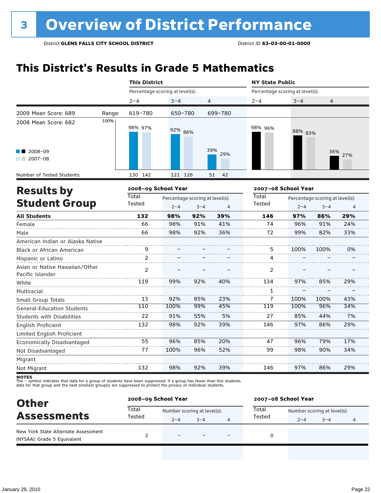## **This District's Results in Grade 5 Mathematics**

|                                  |                |         |                                 |                                                                                         | <b>NY State Public</b>                                 |         |         |                                                                   |                                            |
|----------------------------------|----------------|---------|---------------------------------|-----------------------------------------------------------------------------------------|--------------------------------------------------------|---------|---------|-------------------------------------------------------------------|--------------------------------------------|
|                                  |                |         |                                 |                                                                                         |                                                        |         |         |                                                                   |                                            |
|                                  | $2 - 4$        | $3 - 4$ |                                 |                                                                                         | $2 - 4$                                                | $3 - 4$ | 4       |                                                                   |                                            |
| Range:                           | 619-780        |         |                                 |                                                                                         |                                                        |         |         |                                                                   |                                            |
| 100%                             | 98% 97%        |         |                                 |                                                                                         | 98% 96%                                                |         |         |                                                                   |                                            |
|                                  |                |         |                                 | 29%                                                                                     |                                                        |         |         |                                                                   |                                            |
|                                  | 130 142        |         |                                 | 42<br>51                                                                                |                                                        |         |         |                                                                   |                                            |
|                                  |                |         |                                 |                                                                                         |                                                        |         |         |                                                                   |                                            |
|                                  | <b>Total</b>   |         |                                 |                                                                                         | Total                                                  |         |         |                                                                   |                                            |
| <b>Student Group</b>             |                |         | $3 - 4$                         | 4                                                                                       |                                                        | $2 - 4$ | $3 - 4$ | $\overline{4}$                                                    |                                            |
|                                  | 132            | 98%     | 92%                             | 39%                                                                                     | 146                                                    | 97%     | 86%     | 29%                                                               |                                            |
|                                  | 66             | 98%     | 91%                             | 41%                                                                                     | 74                                                     | 96%     | 91%     | 24%                                                               |                                            |
|                                  | 66             | 98%     | 92%                             | 36%                                                                                     | 72                                                     | 99%     | 82%     | 33%                                                               |                                            |
| American Indian or Alaska Native |                |         |                                 |                                                                                         |                                                        |         |         |                                                                   |                                            |
|                                  | 9              |         |                                 |                                                                                         | 5                                                      | 100%    | 100%    | 0%                                                                |                                            |
|                                  | 2              |         |                                 |                                                                                         | 4                                                      |         |         |                                                                   |                                            |
| Asian or Native Hawaiian/Other   | $\overline{2}$ |         |                                 |                                                                                         | $\overline{2}$                                         |         |         |                                                                   |                                            |
|                                  | 119            | 99%     | 92%                             | 40%                                                                                     | 134                                                    | 97%     | 85%     | 29%                                                               |                                            |
|                                  |                |         |                                 |                                                                                         | 1                                                      |         |         |                                                                   |                                            |
|                                  | 13             | 92%     | 85%                             | 23%                                                                                     | 7                                                      | 100%    | 100%    | 43%                                                               |                                            |
|                                  | 110            | 100%    | 99%                             | 45%                                                                                     | 119                                                    | 100%    | 96%     | 34%                                                               |                                            |
|                                  | 22             | 91%     | 55%                             | 5%                                                                                      | 27                                                     | 85%     | 44%     | 7%                                                                |                                            |
|                                  | 132            | 98%     | 92%                             | 39%                                                                                     | 146                                                    | 97%     | 86%     | 29%                                                               |                                            |
|                                  |                |         |                                 |                                                                                         |                                                        |         |         |                                                                   |                                            |
|                                  | 55             | 96%     | 85%                             | 20%                                                                                     | 47                                                     | 96%     | 79%     | 17%                                                               |                                            |
|                                  | 77             | 100%    | 96%                             | 52%                                                                                     | 99                                                     | 98%     | 90%     | 34%                                                               |                                            |
|                                  |                |         |                                 |                                                                                         |                                                        |         |         |                                                                   |                                            |
|                                  | 132            | 98%     | 92%                             | 39%                                                                                     | 146                                                    | 97%     | 86%     | 29%                                                               |                                            |
|                                  |                | Tested  | <b>This District</b><br>$2 - 4$ | Percentage scoring at level(s):<br>650-780<br>92% 86%<br>121 126<br>2008-09 School Year | 4<br>699-780<br>39%<br>Percentage scoring at level(s): | Tested  |         | Percentage scoring at level(s):<br>88% 83%<br>2007-08 School Year | 36% 27%<br>Percentage scoring at level(s): |

| <b>Other</b>                                                       | 2008-09 School Year |                             |         |  | 2007-08 School Year |                             |         |  |  |
|--------------------------------------------------------------------|---------------------|-----------------------------|---------|--|---------------------|-----------------------------|---------|--|--|
|                                                                    | Total               | Number scoring at level(s): |         |  | Total               | Number scoring at level(s): |         |  |  |
| <b>Assessments</b>                                                 | Tested              | $2 - 4$                     | $3 - 4$ |  | Tested              | $2 - 4$                     | $3 - 4$ |  |  |
| New York State Alternate Assessment<br>(NYSAA): Grade 5 Equivalent |                     | $\equiv$                    |         |  | 0                   |                             |         |  |  |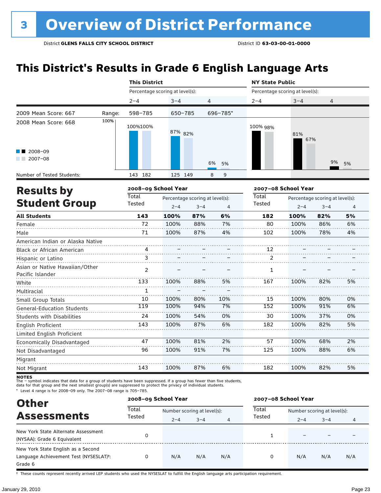## **This District's Results in Grade 6 English Language Arts**

|                                                    |        | <b>This District</b>            |         |                                 |                | <b>NY State Public</b>          |                     |                                 |                |
|----------------------------------------------------|--------|---------------------------------|---------|---------------------------------|----------------|---------------------------------|---------------------|---------------------------------|----------------|
|                                                    |        | Percentage scoring at level(s): |         |                                 |                | Percentage scoring at level(s): |                     |                                 |                |
|                                                    |        | $2 - 4$                         | $3 - 4$ | $\overline{4}$                  |                | $2 - 4$                         | $3 - 4$             | 4                               |                |
| 2009 Mean Score: 667                               | Range: | 598-785                         | 650-785 |                                 | 696-785*       |                                 |                     |                                 |                |
| 2008 Mean Score: 668                               | 100%   | 100%100%                        | 87% 82% |                                 |                | 100% 98%                        | 81%<br>67%          |                                 |                |
| $\blacksquare$ 2008-09<br>$12007 - 08$             |        |                                 |         |                                 | 6%<br>5%       |                                 |                     | 9%                              | 5%             |
| Number of Tested Students:                         |        | 143 182                         | 125 149 |                                 | 8<br>9         |                                 |                     |                                 |                |
| <b>Results by</b>                                  |        | 2008-09 School Year             |         |                                 |                |                                 | 2007-08 School Year |                                 |                |
|                                                    |        | Total                           |         | Percentage scoring at level(s): |                | Total                           |                     | Percentage scoring at level(s): |                |
| <b>Student Group</b>                               |        | Tested                          | $2 - 4$ | $3 - 4$                         | $\overline{4}$ | <b>Tested</b>                   | $2 - 4$             | $3 - 4$                         | $\overline{4}$ |
| <b>All Students</b>                                |        | 143                             | 100%    | 87%                             | 6%             | 182                             | 100%                | 82%                             | 5%             |
| Female                                             |        | 72                              | 100%    | 88%                             | 7%             | 80                              | 100%                | 86%                             | 6%             |
| Male                                               |        | 71                              | 100%    | 87%                             | 4%             | 102                             | 100%                | 78%                             | 4%             |
| American Indian or Alaska Native                   |        |                                 |         |                                 |                |                                 |                     |                                 |                |
| Black or African American                          |        | 4                               |         |                                 |                | 12                              |                     |                                 |                |
| Hispanic or Latino                                 |        | 3                               |         |                                 |                | $\overline{2}$                  |                     |                                 |                |
| Asian or Native Hawaiian/Other<br>Pacific Islander |        | $\overline{2}$                  |         |                                 |                | $\mathbf{1}$                    |                     |                                 |                |
| White                                              |        | 133                             | 100%    | 88%                             | 5%             | 167                             | 100%                | 82%                             | 5%             |
| Multiracial                                        |        | 1                               |         |                                 |                |                                 |                     |                                 |                |
| Small Group Totals                                 |        | 10                              | 100%    | 80%                             | 10%            | 15                              | 100%                | 80%                             | 0%             |
| <b>General-Education Students</b>                  |        | 119                             | 100%    | 94%                             | 7%             | 152                             | 100%                | 91%                             | 6%             |
| <b>Students with Disabilities</b>                  |        | 24                              | 100%    | 54%                             | 0%             | 30                              | 100%                | 37%                             | 0%             |
| English Proficient                                 |        | 143                             | 100%    | 87%                             | 6%             | 182                             | 100%                | 82%                             | 5%             |
| Limited English Proficient                         |        |                                 |         |                                 |                |                                 |                     |                                 |                |
| Economically Disadvantaged                         |        | 47                              | 100%    | 81%                             | 2%             | 57                              | 100%                | 68%                             | 2%             |
| Not Disadvantaged                                  |        | 96                              | 100%    | 91%                             | 7%             | 125                             | 100%                | 88%                             | 6%             |
| Migrant                                            |        |                                 |         |                                 |                |                                 |                     |                                 |                |
| Not Migrant                                        |        | 143                             | 100%    | 87%                             | 6%             | 182                             | 100%                | 82%                             | 5%             |

**NOTES**<br>The – symbol indicates that data for a group of students have been suppressed. If a group has fewer than five students,<br>data for that group and the next smallest group(s) are suppressed to protect the privacy of in

\* Level 4 range is for 2008–09 only. The 2007–08 range is 705–785.

| <b>Other</b>                                        |                 | 2008-09 School Year         |         |     | 2007-08 School Year |         |                             |     |  |
|-----------------------------------------------------|-----------------|-----------------------------|---------|-----|---------------------|---------|-----------------------------|-----|--|
|                                                     | Total<br>Tested | Number scoring at level(s): |         |     | Total               |         | Number scoring at level(s): |     |  |
| <b>Assessments</b>                                  |                 | $2 - 4$                     | $3 - 4$ | 4   | Tested              | $2 - 4$ | $3 - 4$                     | 4   |  |
| New York State Alternate Assessment                 | 0               |                             |         |     |                     |         |                             |     |  |
| (NYSAA): Grade 6 Equivalent                         |                 |                             |         |     |                     |         |                             |     |  |
| New York State English as a Second                  |                 |                             |         |     |                     |         |                             |     |  |
| Language Achievement Test (NYSESLAT) <sup>+</sup> : | 0               | N/A                         | N/A     | N/A | 0                   | N/A     | N/A                         | N/A |  |
| Grade 6                                             |                 |                             |         |     |                     |         |                             |     |  |

† These counts represent recently arrived LEP students who used the NYSESLAT to fulfill the English language arts participation requirement.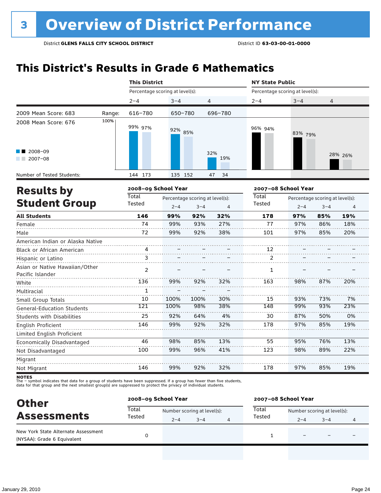## **This District's Results in Grade 6 Mathematics**

|                                                    |        | <b>This District</b>            |         |                                            |                | <b>NY State Public</b>          |                     |                                            |                |  |
|----------------------------------------------------|--------|---------------------------------|---------|--------------------------------------------|----------------|---------------------------------|---------------------|--------------------------------------------|----------------|--|
|                                                    |        | Percentage scoring at level(s): |         |                                            |                | Percentage scoring at level(s): |                     |                                            |                |  |
|                                                    |        | $2 - 4$                         | $3 - 4$ | 4                                          |                | $2 - 4$                         | $3 - 4$             | 4                                          |                |  |
| 2009 Mean Score: 683                               | Range: | 616-780                         | 650-780 |                                            | 696-780        |                                 |                     |                                            |                |  |
| 2008 Mean Score: 676                               | 100%   | 99% 97%                         | 92% 85% |                                            |                | 96% 94%                         | 83% 79%             |                                            |                |  |
| 2008-09<br>$2007 - 08$                             |        |                                 |         |                                            | 32%<br>19%     |                                 |                     |                                            | 28% 26%        |  |
| Number of Tested Students:                         |        | 144 173                         | 135 152 |                                            | 34<br>47       |                                 |                     |                                            |                |  |
| <b>Results by</b>                                  |        | 2008-09 School Year             |         |                                            |                |                                 | 2007-08 School Year |                                            |                |  |
| <b>Student Group</b>                               |        | Total<br>Tested                 | $2 - 4$ | Percentage scoring at level(s):<br>$3 - 4$ | $\overline{4}$ | Total<br>Tested                 | $2 - 4$             | Percentage scoring at level(s):<br>$3 - 4$ | $\overline{4}$ |  |
| <b>All Students</b>                                |        | 146                             | 99%     | 92%                                        | 32%            | 178                             | 97%                 | 85%                                        | 19%            |  |
| Female                                             |        | 74                              | 99%     | 93%                                        | 27%            | 77                              | 97%                 | 86%                                        | 18%            |  |
| Male                                               |        | 72                              | 99%     | 92%                                        | 38%            | 101                             | 97%                 | 85%                                        | 20%            |  |
| American Indian or Alaska Native                   |        |                                 |         |                                            |                |                                 |                     |                                            |                |  |
| Black or African American                          |        | 4                               |         |                                            |                | 12                              |                     |                                            |                |  |
| Hispanic or Latino                                 |        | 3                               |         |                                            |                | $\overline{2}$                  |                     |                                            |                |  |
| Asian or Native Hawaiian/Other<br>Pacific Islander |        | $\mathcal{P}$                   |         |                                            |                | 1                               |                     |                                            |                |  |
| White                                              |        | 136                             | 99%     | 92%                                        | 32%            | 163                             | 98%                 | 87%                                        | 20%            |  |
| Multiracial                                        |        | $\mathbf{1}$                    |         |                                            |                |                                 |                     |                                            |                |  |
| Small Group Totals                                 |        | 10                              | 100%    | 100%                                       | 30%            | 15                              | 93%                 | 73%                                        | 7%             |  |
| <b>General-Education Students</b>                  |        | 121                             | 100%    | 98%                                        | 38%            | 148                             | 99%                 | 93%                                        | 23%            |  |
| Students with Disabilities                         |        | 25                              | 92%     | 64%                                        | 4%             | 30                              | 87%                 | 50%                                        | 0%             |  |
| English Proficient                                 |        | 146                             | 99%     | 92%                                        | 32%            | 178                             | 97%                 | 85%                                        | 19%            |  |
| Limited English Proficient                         |        |                                 |         |                                            |                |                                 |                     |                                            |                |  |
| Economically Disadvantaged                         |        | 46                              | 98%     | 85%                                        | 13%            | 55                              | 95%                 | 76%                                        | 13%            |  |
| Not Disadvantaged                                  |        | 100                             | 99%     | 96%                                        | 41%            | 123                             | 98%                 | 89%                                        | 22%            |  |
| Migrant                                            |        |                                 |         |                                            |                |                                 |                     |                                            |                |  |
| Not Migrant                                        |        | 146                             | 99%     | 92%                                        | 32%            | 178                             | 97%                 | 85%                                        | 19%            |  |

| <b>Other</b>                                                       |        | 2008-09 School Year         |         |   |        | 2007-08 School Year         |                          |   |  |  |
|--------------------------------------------------------------------|--------|-----------------------------|---------|---|--------|-----------------------------|--------------------------|---|--|--|
| <b>Assessments</b>                                                 | Total  | Number scoring at level(s): |         |   | Total  | Number scoring at level(s): |                          |   |  |  |
|                                                                    | Tested | $2 - 4$                     | $3 - 4$ | 4 | Tested | $2 - 4$                     | $3 - 4$                  | 4 |  |  |
| New York State Alternate Assessment<br>(NYSAA): Grade 6 Equivalent |        |                             |         |   |        |                             | $\overline{\phantom{0}}$ |   |  |  |
|                                                                    |        |                             |         |   |        |                             |                          |   |  |  |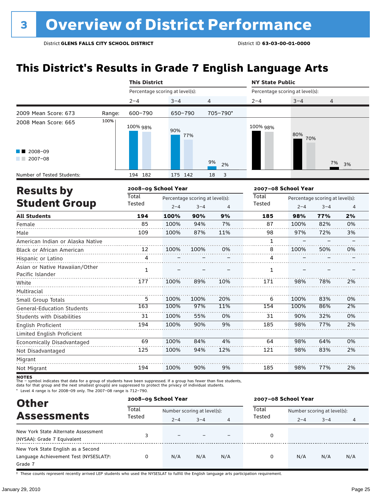## **This District's Results in Grade 7 English Language Arts**

|                                                             |        | <b>This District</b>            |         |                                 |          | <b>NY State Public</b>          |                     |                                 |          |
|-------------------------------------------------------------|--------|---------------------------------|---------|---------------------------------|----------|---------------------------------|---------------------|---------------------------------|----------|
|                                                             |        | Percentage scoring at level(s): |         |                                 |          | Percentage scoring at level(s): |                     |                                 |          |
|                                                             |        | $2 - 4$                         | $3 - 4$ | 4                               |          | $2 - 4$                         | $3 - 4$             | 4                               |          |
| 2009 Mean Score: 673                                        | Range: | 600-790                         | 650-790 |                                 | 705-790* |                                 |                     |                                 |          |
| 2008 Mean Score: 665                                        | 100%   | 100% 98%                        | 90%     | 77%                             |          | 100% 98%                        | 80%<br>70%          |                                 |          |
| $\blacksquare$ 2008-09<br>$2007 - 08$<br><b>The Company</b> |        |                                 |         |                                 | 9%<br>2% |                                 |                     | 7%                              | 3%       |
| Number of Tested Students:                                  |        | 194 182                         | 175 142 |                                 | 18<br>3  |                                 |                     |                                 |          |
| <b>Results by</b>                                           |        | 2008-09 School Year             |         |                                 |          |                                 | 2007-08 School Year |                                 |          |
|                                                             |        | <b>Total</b>                    |         | Percentage scoring at level(s): |          | Total                           |                     | Percentage scoring at level(s): |          |
| <b>Student Group</b>                                        |        | Tested                          | $2 - 4$ | $3 - 4$                         | 4        | <b>Tested</b>                   | $2 - 4$             | $3 - 4$                         | $\Delta$ |
| <b>All Students</b>                                         |        | 194                             | 100%    | 90%                             | 9%       | 185                             | 98%                 | 77%                             | 2%       |
| Female                                                      |        | 85                              | 100%    | 94%                             | 7%       | 87                              | 100%                | 82%                             | 0%       |
| Male                                                        |        | 109                             | 100%    | 87%                             | 11%      | 98                              | 97%                 | 72%                             | 3%       |
| American Indian or Alaska Native                            |        |                                 |         |                                 |          | 1                               |                     |                                 |          |
| Black or African American                                   |        | 12                              | 100%    | 100%                            | 0%       | 8                               | 100%                | 50%                             | 0%       |
| Hispanic or Latino                                          |        | 4                               |         |                                 |          | Δ                               |                     |                                 |          |
| Asian or Native Hawaiian/Other<br>Pacific Islander          |        | $\mathbf{1}$                    |         |                                 |          | 1                               |                     |                                 |          |
| White                                                       |        | 177                             | 100%    | 89%                             | 10%      | 171                             | 98%                 | 78%                             | 2%       |
| Multiracial                                                 |        |                                 |         |                                 |          |                                 |                     |                                 |          |
| Small Group Totals                                          |        | 5                               | 100%    | 100%                            | 20%      | 6                               | 100%                | 83%                             | 0%       |
| <b>General-Education Students</b>                           |        | 163                             | 100%    | 97%                             | 11%      | 154                             | 100%                | 86%                             | 2%       |
| <b>Students with Disabilities</b>                           |        | 31                              | 100%    | 55%                             | 0%       | 31                              | 90%                 | 32%                             | 0%       |
| English Proficient                                          |        | 194                             | 100%    | 90%                             | 9%       | 185                             | 98%                 | 77%                             | 2%       |
| Limited English Proficient                                  |        |                                 |         |                                 |          |                                 |                     |                                 |          |
| Economically Disadvantaged                                  |        | 69                              | 100%    | 84%                             | 4%       | 64                              | 98%                 | 64%                             | 0%       |
| Not Disadvantaged                                           |        | 125                             | 100%    | 94%                             | 12%      | 121                             | 98%                 | 83%                             | 2%       |

Not Migrant

Migrant

**NOTES**<br>The – symbol indicates that data for a group of students have been suppressed. If a group has fewer than five students,<br>data for that group and the next smallest group(s) are suppressed to protect the privacy of in

194

100%

\* Level 4 range is for 2008–09 only. The 2007–08 range is 712–790.

| <b>Other</b>                                        | 2008-09 School Year |                             |         |     | 2007-08 School Year |                             |         |                |  |
|-----------------------------------------------------|---------------------|-----------------------------|---------|-----|---------------------|-----------------------------|---------|----------------|--|
|                                                     | Total               | Number scoring at level(s): |         |     | Total               | Number scoring at level(s): |         |                |  |
| <b>Assessments</b>                                  | Tested              | $2 - 4$                     | $3 - 4$ | 4   | Tested              | $2 - 4$                     | $3 - 4$ | $\overline{4}$ |  |
| New York State Alternate Assessment                 |                     |                             |         |     |                     |                             |         |                |  |
| (NYSAA): Grade 7 Equivalent                         |                     |                             |         |     |                     |                             |         |                |  |
| New York State English as a Second                  |                     |                             |         |     |                     |                             |         |                |  |
| Language Achievement Test (NYSESLAT) <sup>+</sup> : | 0                   | N/A                         | N/A     | N/A | 0                   | N/A                         | N/A     | N/A            |  |
| Grade 7                                             |                     |                             |         |     |                     |                             |         |                |  |

90%

9%

185

98%

77%

2%

† These counts represent recently arrived LEP students who used the NYSESLAT to fulfill the English language arts participation requirement.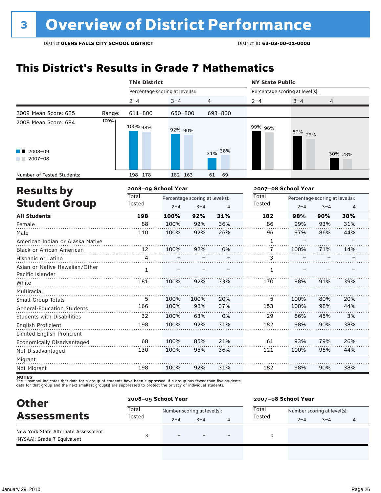## **This District's Results in Grade 7 Mathematics**

|                                                    |        | <b>This District</b><br><b>NY State Public</b> |                                                       |      |                |                                 |                                                       |     |         |
|----------------------------------------------------|--------|------------------------------------------------|-------------------------------------------------------|------|----------------|---------------------------------|-------------------------------------------------------|-----|---------|
|                                                    |        | Percentage scoring at level(s):                |                                                       |      |                | Percentage scoring at level(s): |                                                       |     |         |
|                                                    |        | $2 - 4$                                        | $3 - 4$                                               |      | 4              | $2 - 4$                         | $3 - 4$                                               | 4   |         |
| 2009 Mean Score: 685                               | Range: | 611-800                                        | 650-800                                               |      | 693-800        |                                 |                                                       |     |         |
| 2008 Mean Score: 684                               | 100%   | 100% 98%                                       | 92% 90%                                               |      |                | 99% 96%                         | 87% 79%                                               |     |         |
| 2008-09<br>$2007 - 08$<br><b>Contract</b>          |        |                                                |                                                       |      | 38%<br>31%     |                                 |                                                       |     | 30% 28% |
| Number of Tested Students:                         |        | 198 178                                        | 182 163                                               |      | 61<br>69       |                                 |                                                       |     |         |
| <b>Results by</b>                                  |        | 2008-09 School Year                            |                                                       |      |                |                                 | 2007-08 School Year                                   |     |         |
| <b>Student Group</b>                               |        | Total<br>Tested                                | Percentage scoring at level(s):<br>$2 - 4$<br>$3 - 4$ |      | $\overline{4}$ | Total<br>Tested                 | Percentage scoring at level(s):<br>$2 - 4$<br>$3 - 4$ |     | 4       |
| <b>All Students</b>                                |        | 198                                            | 100%                                                  | 92%  | 31%            | 182                             | 98%                                                   | 90% | 38%     |
| Female                                             |        | 88                                             | 100%                                                  | 92%  | 36%            | 86                              | 99%                                                   | 93% | 31%     |
| Male                                               |        | 110                                            | 100%                                                  | 92%  | 26%            | 96                              | 97%                                                   | 86% | 44%     |
| American Indian or Alaska Native                   |        |                                                |                                                       |      |                | $\mathbf{1}$                    |                                                       |     |         |
| Black or African American                          |        | 12                                             | 100%                                                  | 92%  | 0%             | $\mathbf{7}$                    | 100%                                                  | 71% | 14%     |
| Hispanic or Latino                                 |        | 4                                              |                                                       |      |                | 3                               |                                                       |     |         |
| Asian or Native Hawaiian/Other<br>Pacific Islander |        | $\mathbf{1}$                                   |                                                       |      |                | $\mathbf{1}$                    |                                                       |     |         |
| White<br>Multiracial                               |        | 181                                            | 100%                                                  | 92%  | 33%            | 170                             | 98%                                                   | 91% | 39%     |
| Small Group Totals                                 |        | 5                                              | 100%                                                  | 100% | 20%            | 5                               | 100%                                                  | 80% | 20%     |
| <b>General-Education Students</b>                  |        | 166                                            | 100%                                                  | 98%  | 37%            | 153                             | 100%                                                  | 98% | 44%     |
| <b>Students with Disabilities</b>                  |        | 32                                             | 100%                                                  | 63%  | 0%             | 29                              | 86%                                                   | 45% | 3%      |
| <b>English Proficient</b>                          |        | 198                                            | 100%                                                  | 92%  | 31%            | 182                             | 98%                                                   | 90% | 38%     |
| Limited English Proficient                         |        |                                                |                                                       |      |                |                                 |                                                       |     |         |
| Economically Disadvantaged                         |        | 68                                             | 100%                                                  | 85%  | 21%            | 61                              | 93%                                                   | 79% | 26%     |
| Not Disadvantaged                                  |        | 130                                            | 100%                                                  | 95%  | 36%            | 121                             | 100%                                                  | 95% | 44%     |
| Migrant                                            |        |                                                |                                                       |      |                |                                 |                                                       |     |         |
| Not Migrant                                        |        | 198                                            | 100%                                                  | 92%  | 31%            | 182                             | 98%                                                   | 90% | 38%     |

| <b>Other</b>                                                       | 2008-09 School Year |                             |         |  | 2007-08 School Year |                             |         |   |  |
|--------------------------------------------------------------------|---------------------|-----------------------------|---------|--|---------------------|-----------------------------|---------|---|--|
|                                                                    | Total               | Number scoring at level(s): |         |  | Total               | Number scoring at level(s): |         |   |  |
| <b>Assessments</b>                                                 | Tested              | $2 - 4$                     | $3 - 4$ |  | Tested              | $2 - 4$                     | $3 - 4$ | 4 |  |
| New York State Alternate Assessment<br>(NYSAA): Grade 7 Equivalent |                     | $\overline{\phantom{0}}$    |         |  |                     |                             |         |   |  |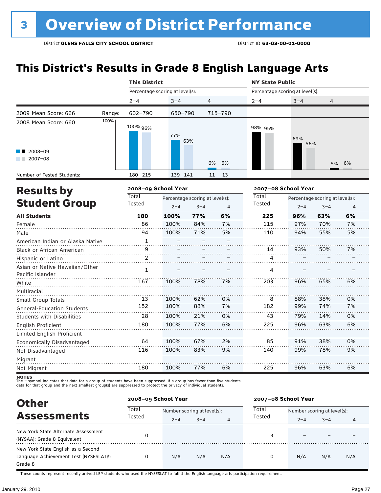## **This District's Results in Grade 8 English Language Arts**

|                                  |        | <b>This District</b> |                                 |                                 |         | <b>NY State Public</b> |                                 |                                 |    |  |  |
|----------------------------------|--------|----------------------|---------------------------------|---------------------------------|---------|------------------------|---------------------------------|---------------------------------|----|--|--|
|                                  |        |                      | Percentage scoring at level(s): |                                 |         |                        | Percentage scoring at level(s): |                                 |    |  |  |
|                                  |        | $2 - 4$              | $3 - 4$                         | 4                               |         | $2 - 4$                | $3 - 4$                         | 4                               |    |  |  |
| 2009 Mean Score: 666             | Range: | $602 - 790$          | 650-790                         |                                 | 715-790 |                        |                                 |                                 |    |  |  |
| 2008 Mean Score: 660             | 100%   | 100% 96%             | 77%                             | 63%                             |         | 98% 95%                | 69%<br>56%                      |                                 |    |  |  |
| 2008-09<br>$2007 - 08$           |        |                      |                                 | 6%                              | 6%      |                        |                                 | 5%                              | 6% |  |  |
| Number of Tested Students:       |        | 180 215              | 139 141                         | 11                              | 13      |                        |                                 |                                 |    |  |  |
|                                  |        |                      |                                 |                                 |         |                        |                                 |                                 |    |  |  |
|                                  |        |                      | 2008-09 School Year             |                                 |         |                        | 2007-08 School Year             |                                 |    |  |  |
| <b>Results by</b>                |        | Total                |                                 | Percentage scoring at level(s): |         | Total                  |                                 | Percentage scoring at level(s): |    |  |  |
| <b>Student Group</b>             |        | Tested               | $2 - 4$                         | $3 - 4$                         | 4       | Tested                 | $2 - 4$                         | $3 - 4$                         | 4  |  |  |
| <b>All Students</b>              |        | 180                  | 100%                            | 77%                             | 6%      | 225                    | 96%                             | 63%                             | 6% |  |  |
| Female                           |        | 86                   | 100%                            | 84%                             | 7%      | 115                    | 97%                             | 70%                             | 7% |  |  |
| Male                             |        | 94                   | 100%                            | 71%                             | 5%      | 110                    | 94%                             | 55%                             | 5% |  |  |
| American Indian or Alaska Native |        | $\mathbf{1}$         |                                 |                                 |         |                        |                                 |                                 |    |  |  |
| <b>Black or African American</b> |        | q                    |                                 |                                 |         | 14                     | 93%                             | 50%                             | 7% |  |  |
| Hispanic or Latino               |        | $\mathfrak{D}$       |                                 |                                 |         | 4                      |                                 |                                 |    |  |  |

| Pacific islander                  |     |      |     |    |     |     |     |    |
|-----------------------------------|-----|------|-----|----|-----|-----|-----|----|
| White                             | 167 | 100% | 78% | 7% | 203 | 96% | 65% | 6% |
| Multiracial                       |     |      |     |    |     |     |     |    |
| Small Group Totals                | 13  | 100% | 62% | 0% | 8   | 88% | 38% | 0% |
| <b>General-Education Students</b> | 152 | 100% | 88% | 7% | 182 | 99% | 74% | 7% |
| <b>Students with Disabilities</b> | 28  | 100% | 21% | 0% | 43  | 79% | 14% | 0% |
| English Proficient                | 180 | 100% | 77% | 6% | 225 | 96% | 63% | 6% |
| Limited English Proficient        |     |      |     |    |     |     |     |    |
| Economically Disadvantaged        | 64  | 100% | 67% | 2% | 85  | 91% | 38% | 0% |
| Not Disadvantaged                 | 116 | 100% | 83% | 9% | 140 | 99% | 78% | 9% |
| Migrant                           |     |      |     |    |     |     |     |    |
| Not Migrant                       | 180 | 100% | 77% | 6% | 225 | 96% | 63% | 6% |
|                                   |     |      |     |    |     |     |     |    |

**NOTES**<br>The – symbol indicates that data for a group of students have been suppressed. If a group has fewer than five students,<br>data for that group and the next smallest group(s) are suppressed to protect the privacy of in

| <b>Other</b>                                                                                         | 2008-09 School Year |                             |         |     | 2007-08 School Year |                             |         |     |  |
|------------------------------------------------------------------------------------------------------|---------------------|-----------------------------|---------|-----|---------------------|-----------------------------|---------|-----|--|
|                                                                                                      | Total               | Number scoring at level(s): |         |     | Total               | Number scoring at level(s): |         |     |  |
| <b>Assessments</b>                                                                                   | Tested              | $2 - 4$                     | $3 - 4$ | 4   | Tested              | $2 - 4$                     | $3 - 4$ | 4   |  |
| New York State Alternate Assessment<br>(NYSAA): Grade 8 Equivalent                                   | 0                   |                             |         |     |                     |                             |         |     |  |
| New York State English as a Second<br>Language Achievement Test (NYSESLAT) <sup>+</sup> :<br>Grade 8 |                     | N/A                         | N/A     | N/A | 0                   | N/A                         | N/A     | N/A |  |

† These counts represent recently arrived LEP students who used the NYSESLAT to fulfill the English language arts participation requirement.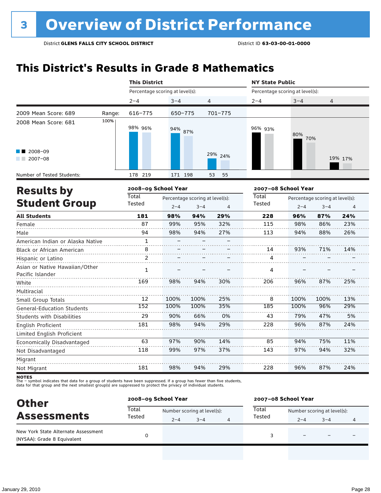## **This District's Results in Grade 8 Mathematics**

|                                                    |                                                                                                                                                                                                                                                                                                                                                                                                                                                                                                                                                                                                                                                                                                                                                                | <b>This District</b> |         |   |    | <b>NY State Public</b> |         |                                 |         |
|----------------------------------------------------|----------------------------------------------------------------------------------------------------------------------------------------------------------------------------------------------------------------------------------------------------------------------------------------------------------------------------------------------------------------------------------------------------------------------------------------------------------------------------------------------------------------------------------------------------------------------------------------------------------------------------------------------------------------------------------------------------------------------------------------------------------------|----------------------|---------|---|----|------------------------|---------|---------------------------------|---------|
|                                                    |                                                                                                                                                                                                                                                                                                                                                                                                                                                                                                                                                                                                                                                                                                                                                                |                      |         |   |    |                        |         |                                 |         |
|                                                    |                                                                                                                                                                                                                                                                                                                                                                                                                                                                                                                                                                                                                                                                                                                                                                | $2 - 4$              | $3 - 4$ |   |    | $2 - 4$                | $3 - 4$ | 4                               |         |
| 2009 Mean Score: 689                               | Range:                                                                                                                                                                                                                                                                                                                                                                                                                                                                                                                                                                                                                                                                                                                                                         | 616-775              |         |   |    |                        |         |                                 |         |
| 2008 Mean Score: 681                               | 100%                                                                                                                                                                                                                                                                                                                                                                                                                                                                                                                                                                                                                                                                                                                                                           | 98% 96%              |         |   |    | 96% 93%                | 80%     | 70%                             |         |
| 2008-09<br>$2007 - 08$<br>a sa n                   |                                                                                                                                                                                                                                                                                                                                                                                                                                                                                                                                                                                                                                                                                                                                                                |                      |         |   |    |                        |         |                                 | 19% 17% |
| Number of Tested Students:                         |                                                                                                                                                                                                                                                                                                                                                                                                                                                                                                                                                                                                                                                                                                                                                                | 178 219              |         |   | 55 |                        |         |                                 |         |
| <b>Results by</b>                                  |                                                                                                                                                                                                                                                                                                                                                                                                                                                                                                                                                                                                                                                                                                                                                                |                      |         |   |    |                        |         |                                 |         |
|                                                    |                                                                                                                                                                                                                                                                                                                                                                                                                                                                                                                                                                                                                                                                                                                                                                | <b>Total</b>         |         |   |    | Total                  |         | Percentage scoring at level(s): |         |
|                                                    | Percentage scoring at level(s):<br>Percentage scoring at level(s):<br>4<br>701-775<br>650-775<br>94% 87%<br>29% 24%<br>171 198<br>53<br>2008-09 School Year<br>2007-08 School Year<br>Percentage scoring at level(s):<br><b>Student Group</b><br>Tested<br>Tested<br>$2 - 4$<br>$3 - 4$<br>$\overline{4}$<br>181<br>29%<br>228<br>98%<br>94%<br>87<br>99%<br>95%<br>32%<br>115<br>98%<br>94%<br>27%<br>94<br>113<br>$\mathbf{1}$<br>8<br>14<br>2<br>4<br>$\mathbf{1}$<br>4<br>169<br>98%<br>94%<br>30%<br>206<br>100%<br>12<br>100%<br>25%<br>8<br>152<br>100%<br>100%<br>35%<br>185<br>0%<br>29<br>90%<br>66%<br>43<br>29%<br>181<br>98%<br>94%<br>228<br>63<br>97%<br>90%<br>14%<br>85<br>118<br>99%<br>97%<br>37%<br>143<br>29%<br>181<br>98%<br>94%<br>228 | $2 - 4$              | $3 - 4$ | 4 |    |                        |         |                                 |         |
| <b>All Students</b>                                |                                                                                                                                                                                                                                                                                                                                                                                                                                                                                                                                                                                                                                                                                                                                                                |                      |         |   |    |                        | 96%     | 87%                             | 24%     |
| Female                                             |                                                                                                                                                                                                                                                                                                                                                                                                                                                                                                                                                                                                                                                                                                                                                                |                      |         |   |    |                        | 98%     | 86%                             | 23%     |
| Male                                               |                                                                                                                                                                                                                                                                                                                                                                                                                                                                                                                                                                                                                                                                                                                                                                |                      |         |   |    |                        | 94%     | 88%                             | 26%     |
| American Indian or Alaska Native                   |                                                                                                                                                                                                                                                                                                                                                                                                                                                                                                                                                                                                                                                                                                                                                                |                      |         |   |    |                        |         |                                 |         |
| Black or African American                          |                                                                                                                                                                                                                                                                                                                                                                                                                                                                                                                                                                                                                                                                                                                                                                |                      |         |   |    |                        | 93%     | 71%                             | 14%     |
| Hispanic or Latino                                 |                                                                                                                                                                                                                                                                                                                                                                                                                                                                                                                                                                                                                                                                                                                                                                |                      |         |   |    |                        |         |                                 |         |
| Asian or Native Hawaiian/Other<br>Pacific Islander |                                                                                                                                                                                                                                                                                                                                                                                                                                                                                                                                                                                                                                                                                                                                                                |                      |         |   |    |                        |         |                                 |         |
| White                                              |                                                                                                                                                                                                                                                                                                                                                                                                                                                                                                                                                                                                                                                                                                                                                                |                      |         |   |    |                        | 96%     | 87%                             | 25%     |
| Multiracial                                        |                                                                                                                                                                                                                                                                                                                                                                                                                                                                                                                                                                                                                                                                                                                                                                |                      |         |   |    |                        |         |                                 |         |
| Small Group Totals                                 |                                                                                                                                                                                                                                                                                                                                                                                                                                                                                                                                                                                                                                                                                                                                                                |                      |         |   |    |                        | 100%    | 100%                            | 13%     |
| <b>General-Education Students</b>                  |                                                                                                                                                                                                                                                                                                                                                                                                                                                                                                                                                                                                                                                                                                                                                                |                      |         |   |    |                        | 100%    | 96%                             | 29%     |
| <b>Students with Disabilities</b>                  |                                                                                                                                                                                                                                                                                                                                                                                                                                                                                                                                                                                                                                                                                                                                                                |                      |         |   |    |                        | 79%     | 47%                             | 5%      |
| English Proficient                                 |                                                                                                                                                                                                                                                                                                                                                                                                                                                                                                                                                                                                                                                                                                                                                                |                      |         |   |    |                        | 96%     | 87%                             | 24%     |
| Limited English Proficient                         |                                                                                                                                                                                                                                                                                                                                                                                                                                                                                                                                                                                                                                                                                                                                                                |                      |         |   |    |                        |         |                                 |         |
| Economically Disadvantaged                         |                                                                                                                                                                                                                                                                                                                                                                                                                                                                                                                                                                                                                                                                                                                                                                |                      |         |   |    |                        | 94%     | 75%                             | 11%     |
| Not Disadvantaged                                  |                                                                                                                                                                                                                                                                                                                                                                                                                                                                                                                                                                                                                                                                                                                                                                |                      |         |   |    |                        | 97%     | 94%                             | 32%     |
| Migrant                                            |                                                                                                                                                                                                                                                                                                                                                                                                                                                                                                                                                                                                                                                                                                                                                                |                      |         |   |    |                        |         |                                 |         |
| Not Migrant                                        |                                                                                                                                                                                                                                                                                                                                                                                                                                                                                                                                                                                                                                                                                                                                                                |                      |         |   |    |                        | 96%     | 87%                             | 24%     |

| <b>Other</b>                                                       |                 | 2008-09 School Year         |         |   | 2007-08 School Year |                             |         |   |  |
|--------------------------------------------------------------------|-----------------|-----------------------------|---------|---|---------------------|-----------------------------|---------|---|--|
| <b>Assessments</b>                                                 | Total<br>Tested | Number scoring at level(s): |         |   | Total               | Number scoring at level(s): |         |   |  |
|                                                                    |                 | $2 - 4$                     | $3 - 4$ | 4 | Tested              | $2 - 4$                     | $3 - 4$ | 4 |  |
| New York State Alternate Assessment<br>(NYSAA): Grade 8 Equivalent |                 |                             |         |   |                     |                             |         |   |  |
|                                                                    |                 |                             |         |   |                     |                             |         |   |  |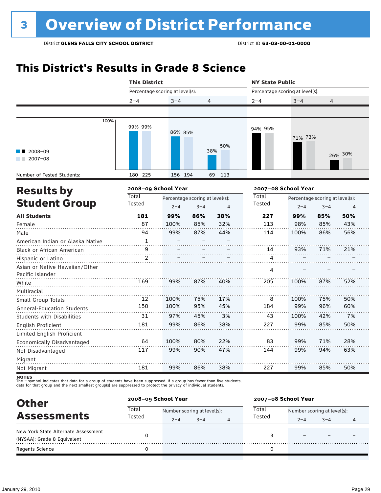## **This District's Results in Grade 8 Science**

|                                                    | <b>This District</b> |                                 |                                 |            | <b>NY State Public</b>          |                     |                                 |         |
|----------------------------------------------------|----------------------|---------------------------------|---------------------------------|------------|---------------------------------|---------------------|---------------------------------|---------|
|                                                    |                      | Percentage scoring at level(s): |                                 |            | Percentage scoring at level(s): |                     |                                 |         |
|                                                    | $2 - 4$              | $3 - 4$                         | 4                               |            | $2 - 4$                         | $3 - 4$             | 4                               |         |
|                                                    |                      |                                 |                                 |            |                                 |                     |                                 |         |
| 100%                                               | 99% 99%              | 86% 85%                         |                                 |            | 94% 95%                         | 71% 73%             |                                 |         |
| 2008-09<br>$2007 - 08$                             |                      |                                 |                                 | 50%<br>38% |                                 |                     |                                 | 26% 30% |
| Number of Tested Students:                         | 180 225              | 156 194                         |                                 | 69<br>113  |                                 |                     |                                 |         |
| <b>Results by</b>                                  | 2008-09 School Year  |                                 |                                 |            |                                 | 2007-08 School Year |                                 |         |
|                                                    | Total                |                                 | Percentage scoring at level(s): |            | Total                           |                     | Percentage scoring at level(s): |         |
| <b>Student Group</b>                               | Tested               | $2 - 4$                         | $3 - 4$                         | 4          | Tested                          | $2 - 4$             | $3 - 4$                         | 4       |
| <b>All Students</b>                                | 181                  | 99%                             | 86%                             | 38%        | 227                             | 99%                 | 85%                             | 50%     |
| Female                                             | 87                   | 100%                            | 85%                             | 32%        | 113                             | 98%                 | 85%                             | 43%     |
| Male                                               | 94                   | 99%                             | 87%                             | 44%        | 114                             | 100%                | 86%                             | 56%     |
| American Indian or Alaska Native                   | $\mathbf{1}$         |                                 |                                 |            |                                 |                     |                                 |         |
| Black or African American                          | 9                    |                                 |                                 |            | 14                              | 93%                 | 71%                             | 21%     |
| Hispanic or Latino                                 | 2                    |                                 |                                 |            | 4                               |                     |                                 |         |
| Asian or Native Hawaiian/Other<br>Pacific Islander |                      |                                 |                                 |            | 4                               |                     |                                 |         |
| White                                              | 169                  | 99%                             | 87%                             | 40%        | 205                             | 100%                | 87%                             | 52%     |
| Multiracial                                        |                      |                                 |                                 |            |                                 |                     |                                 |         |
| Small Group Totals                                 | 12                   | 100%                            | 75%                             | 17%        | 8                               | 100%                | 75%                             | 50%     |
| <b>General-Education Students</b>                  | 150                  | 100%                            | 95%                             | 45%        | 184                             | 99%                 | 96%                             | 60%     |
| Students with Disabilities                         | 31                   | 97%                             | 45%                             | 3%         | 43                              | 100%                | 42%                             | 7%      |
| English Proficient                                 | 181                  | 99%                             | 86%                             | 38%        | 227                             | 99%                 | 85%                             | 50%     |
| Limited English Proficient                         |                      |                                 |                                 |            |                                 |                     |                                 |         |
| Economically Disadvantaged                         | 64                   | 100%                            | 80%                             | 22%        | 83                              | 99%                 | 71%                             | 28%     |
| Not Disadvantaged                                  | 117                  | 99%                             | 90%                             | 47%        | 144                             | 99%                 | 94%                             | 63%     |
| Migrant                                            |                      |                                 |                                 |            |                                 |                     |                                 |         |
| Not Migrant                                        | 181                  | 99%                             | 86%                             | 38%        | 227                             | 99%                 | 85%                             | 50%     |
| uatre                                              |                      |                                 |                                 |            |                                 |                     |                                 |         |

| <b>Other</b>                                                       | 2008-09 School Year |                             |         |   | 2007-08 School Year |                             |         |   |  |
|--------------------------------------------------------------------|---------------------|-----------------------------|---------|---|---------------------|-----------------------------|---------|---|--|
| <b>Assessments</b>                                                 | Total<br>Tested     | Number scoring at level(s): |         |   | Total<br>Tested     | Number scoring at level(s): |         |   |  |
|                                                                    |                     | $2 - 4$                     | $3 - 4$ | 4 |                     | $2 - 4$                     | $3 - 4$ | 4 |  |
| New York State Alternate Assessment<br>(NYSAA): Grade 8 Equivalent |                     |                             |         |   |                     |                             |         |   |  |
| <b>Regents Science</b>                                             |                     |                             |         |   |                     |                             |         |   |  |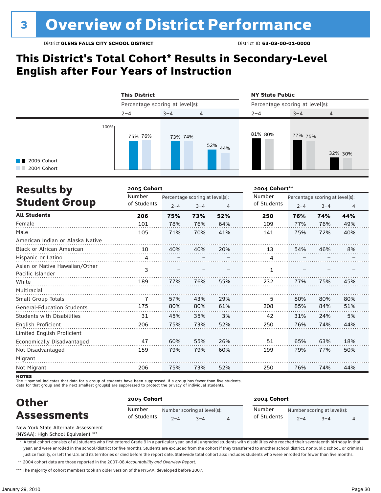## **This District's Total Cohort\* Results in Secondary-Level English after Four Years of Instruction**

|                                                   | <b>This District</b>            |         |                | <b>NY State Public</b>          |         |         |  |
|---------------------------------------------------|---------------------------------|---------|----------------|---------------------------------|---------|---------|--|
|                                                   | Percentage scoring at level(s): |         |                | Percentage scoring at level(s): |         |         |  |
|                                                   | $2 - 4$                         | $3 - 4$ | $\overline{4}$ | $2 - 4$                         | $3 - 4$ | 4       |  |
| 100%<br>$\blacksquare$ 2005 Cohort<br>2004 Cohort | 75% 76%                         | 73% 74% | 52%<br>44%     | 81% 80%                         | 77% 75% | 32% 30% |  |

| <b>Results by</b>                                  | 2005 Cohort |                                 |         |     | 2004 Cohort** |                                 |         |                |
|----------------------------------------------------|-------------|---------------------------------|---------|-----|---------------|---------------------------------|---------|----------------|
|                                                    | Number      | Percentage scoring at level(s): |         |     | Number        | Percentage scoring at level(s): |         |                |
| <b>Student Group</b>                               | of Students | $2 - 4$                         | $3 - 4$ | 4   | of Students   | $2 - 4$                         | $3 - 4$ | $\overline{4}$ |
| <b>All Students</b>                                | 206         | 75%                             | 73%     | 52% | 250           | 76%                             | 74%     | 44%            |
| Female                                             | 101         | 78%                             | 76%     | 64% | 109           | 77%                             | 76%     | 49%            |
| Male                                               | 105         | 71%                             | 70%     | 41% | 141           | 75%                             | 72%     | 40%            |
| American Indian or Alaska Native                   |             |                                 |         |     |               |                                 |         |                |
| <b>Black or African American</b>                   | 10          | 40%                             | 40%     | 20% | 13            | 54%                             | 46%     | 8%             |
| Hispanic or Latino                                 | 4           |                                 |         |     | 4             |                                 |         |                |
| Asian or Native Hawaiian/Other<br>Pacific Islander | 3           |                                 |         |     | 1             |                                 |         |                |
| White                                              | 189         | 77%                             | 76%     | 55% | 232           | 77%                             | 75%     | 45%            |
| Multiracial                                        |             |                                 |         |     |               |                                 |         |                |
| Small Group Totals                                 | 7           | 57%                             | 43%     | 29% | 5             | 80%                             | 80%     | 80%            |
| <b>General-Education Students</b>                  | 175         | 80%                             | 80%     | 61% | 208           | 85%                             | 84%     | 51%            |
| <b>Students with Disabilities</b>                  | 31          | 45%                             | 35%     | 3%  | 42            | 31%                             | 24%     | 5%             |
| English Proficient                                 | 206         | 75%                             | 73%     | 52% | 250           | 76%                             | 74%     | 44%            |
| Limited English Proficient                         |             |                                 |         |     |               |                                 |         |                |
| Economically Disadvantaged                         | 47          | 60%                             | 55%     | 26% | 51            | 65%                             | 63%     | 18%            |
| Not Disadvantaged                                  | 159         | 79%                             | 79%     | 60% | 199           | 79%                             | 77%     | 50%            |
| Migrant                                            |             |                                 |         |     |               |                                 |         |                |
| Not Migrant                                        | 206         | 75%                             | 73%     | 52% | 250           | 76%                             | 74%     | 44%            |

**NOTES** 

The – symbol indicates that data for a group of students have been suppressed. If a group has fewer than five students,

data for that group and the next smallest group(s) are suppressed to protect the privacy of individual students.

| <b>Other</b>                        | 2005 Cohort           |         |                                     | 2004 Cohort           |         |                                        |  |  |
|-------------------------------------|-----------------------|---------|-------------------------------------|-----------------------|---------|----------------------------------------|--|--|
| <b>Assessments</b>                  | Number<br>of Students | $2 - 4$ | Number scoring at level(s):<br>$-4$ | Number<br>of Students | $2 - 4$ | Number scoring at level(s):<br>$3 - 4$ |  |  |
| New York State Alternate Assessment |                       |         |                                     |                       |         |                                        |  |  |

(NYSAA): High School Equivalent \*\*\*

\* A total cohort consists of all students who first entered Grade 9 in a particular year, and all ungraded students with disabilities who reached their seventeenth birthday in that year, and were enrolled in the school/district for five months. Students are excluded from the cohort if they transferred to another school district, nonpublic school, or criminal justice facility, or left the U.S. and its territories or died before the report date. Statewide total cohort also includes students who were enrolled for fewer than five months. \*\* 2004 cohort data are those reported in the 2007-08 *Accountability and Overview Report*.

\*\*\* The majority of cohort members took an older version of the NYSAA, developed before 2007.